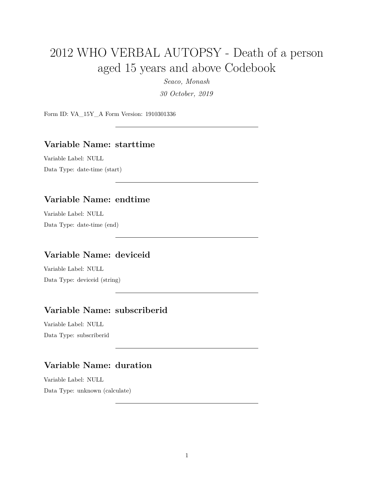# 2012 WHO VERBAL AUTOPSY - Death of a person aged 15 years and above Codebook

*Seaco, Monash*

*30 October, 2019*

Form ID: VA\_15Y\_A Form Version: 1910301336

#### **Variable Name: starttime**

Variable Label: NULL Data Type: date-time (start)

### **Variable Name: endtime**

Variable Label: NULL Data Type: date-time (end)

#### **Variable Name: deviceid**

Variable Label: NULL Data Type: deviceid (string)

# **Variable Name: subscriberid**

Variable Label: NULL Data Type: subscriberid

# **Variable Name: duration**

Variable Label: NULL Data Type: unknown (calculate)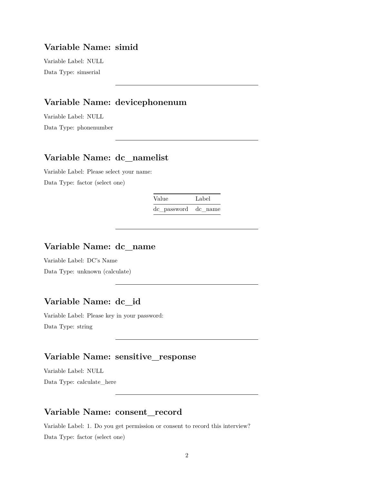#### **Variable Name: simid**

Variable Label: NULL Data Type: simserial

# **Variable Name: devicephonenum**

Variable Label: NULL Data Type: phonenumber

### **Variable Name: dc\_namelist**

Variable Label: Please select your name: Data Type: factor (select one)

Value Label

dc\_password dc\_name

#### **Variable Name: dc\_name**

Variable Label: DC's Name Data Type: unknown (calculate)

#### **Variable Name: dc\_id**

Variable Label: Please key in your password: Data Type: string

# **Variable Name: sensitive\_response**

Variable Label: NULL Data Type: calculate\_here

#### **Variable Name: consent\_record**

Variable Label: 1. Do you get permission or consent to record this interview? Data Type: factor (select one)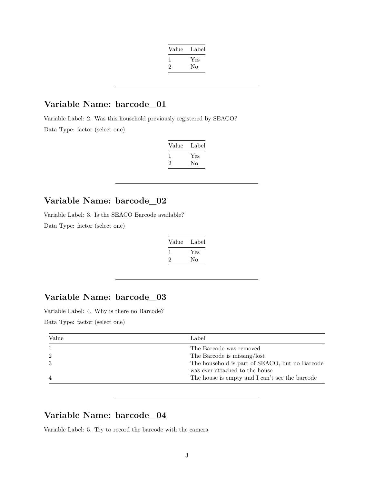| Value        | Label |
|--------------|-------|
| $\mathbf{I}$ | Yes   |
| '2           | No    |
|              |       |

### **Variable Name: barcode\_01**

Variable Label: 2. Was this household previously registered by SEACO? Data Type: factor (select one)

| Value | Label |
|-------|-------|
|       | Yes   |
| ۰,    | Nο    |

### **Variable Name: barcode\_02**

Variable Label: 3. Is the SEACO Barcode available?

Data Type: factor (select one)

| Value | Label |
|-------|-------|
|       | Yes   |
|       | Nο    |

# **Variable Name: barcode\_03**

Variable Label: 4. Why is there no Barcode?

Data Type: factor (select one)

| Value | Label                                          |
|-------|------------------------------------------------|
|       | The Barcode was removed                        |
|       | The Barcode is missing/lost                    |
|       | The household is part of SEACO, but no Barcode |
|       | was ever attached to the house                 |
|       | The house is empty and I can't see the barcode |

# **Variable Name: barcode\_04**

Variable Label: 5. Try to record the barcode with the camera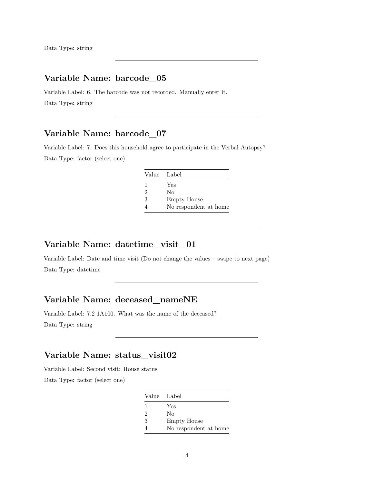# **Variable Name: barcode\_05**

Variable Label: 6. The barcode was not recorded. Manually enter it. Data Type: string

# **Variable Name: barcode\_07**

Variable Label: 7. Does this household agree to participate in the Verbal Autopsy? Data Type: factor (select one)

| Value Label    |                       |
|----------------|-----------------------|
| 1              | Yes                   |
| $\overline{2}$ | Nο                    |
| 3              | <b>Empty House</b>    |
|                | No respondent at home |

# **Variable Name: datetime\_visit\_01**

Variable Label: Date and time visit (Do not change the values – swipe to next page) Data Type: datetime

#### **Variable Name: deceased\_nameNE**

Variable Label: 7.2 1A100. What was the name of the deceased? Data Type: string

# **Variable Name: status\_visit02**

Variable Label: Second visit: House status

Data Type: factor (select one)

|                | Value Label           |
|----------------|-----------------------|
| -1             | Yes                   |
| $\mathfrak{D}$ | No                    |
| 3              | <b>Empty House</b>    |
|                | No respondent at home |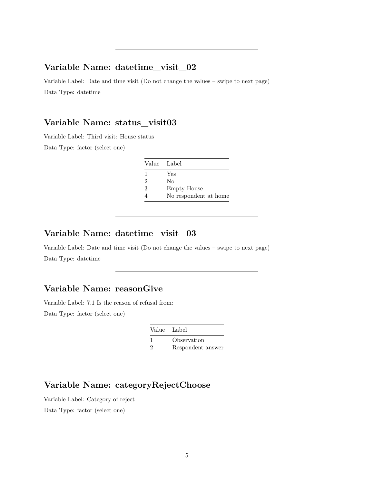#### **Variable Name: datetime\_visit\_02**

Variable Label: Date and time visit (Do not change the values – swipe to next page) Data Type: datetime

#### **Variable Name: status\_visit03**

Variable Label: Third visit: House status

Data Type: factor (select one)

| Value Label    |                       |
|----------------|-----------------------|
|                | Yes                   |
| $\mathfrak{D}$ | Nο                    |
| 3              | <b>Empty House</b>    |
|                | No respondent at home |

#### **Variable Name: datetime\_visit\_03**

Variable Label: Date and time visit (Do not change the values – swipe to next page) Data Type: datetime

# **Variable Name: reasonGive**

Variable Label: 7.1 Is the reason of refusal from: Data Type: factor (select one)

| Value Label   |                   |
|---------------|-------------------|
|               | Observation       |
| $\mathcal{D}$ | Respondent answer |

# **Variable Name: categoryRejectChoose**

Variable Label: Category of reject

Data Type: factor (select one)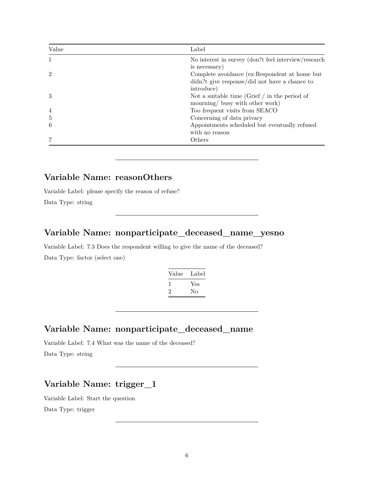| Value          | Label                                                |
|----------------|------------------------------------------------------|
|                | No interest in survey (don?t feel interview/research |
|                | is necessary)                                        |
| $\overline{2}$ | Complete avoidance (ex:Respondent at home but        |
|                | didn?t give response/did not have a chance to        |
|                | introduce)                                           |
| 3              | Not a suitable time (Grief $\int$ in the period of   |
|                | mourning/ busy with other work)                      |
| $\overline{4}$ | Too frequent visits from SEACO                       |
| 5              | Concerning of data privacy                           |
| 6              | Appointments scheduled but eventually refused        |
|                | with no reason                                       |
|                | Others                                               |

# **Variable Name: reasonOthers**

Variable Label: please specify the reason of refuse?

Data Type: string

### **Variable Name: nonparticipate\_deceased\_name\_yesno**

Variable Label: 7.3 Does the respondent willing to give the name of the deceased? Data Type: factor (select one)

| Value        | Label |
|--------------|-------|
| <sup>1</sup> | Yes   |
| $\mathbf{2}$ | Nο    |

#### **Variable Name: nonparticipate\_deceased\_name**

Variable Label: 7.4 What was the name of the deceased? Data Type: string

### **Variable Name: trigger\_1**

Variable Label: Start the question Data Type: trigger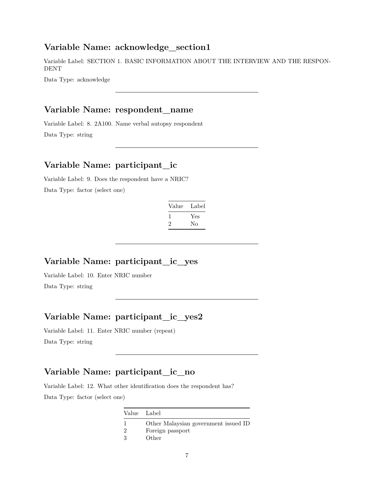#### **Variable Name: acknowledge\_section1**

Variable Label: SECTION 1. BASIC INFORMATION ABOUT THE INTERVIEW AND THE RESPON-DENT

Data Type: acknowledge

#### **Variable Name: respondent\_name**

Variable Label: 8. 2A100. Name verbal autopsy respondent Data Type: string

# **Variable Name: participant\_ic**

Variable Label: 9. Does the respondent have a NRIC? Data Type: factor (select one)

| Value | Label |
|-------|-------|
|       | Yes   |
| ۰,    | Nο    |

#### **Variable Name: participant\_ic\_yes**

Variable Label: 10. Enter NRIC number

Data Type: string

# **Variable Name: participant\_ic\_yes2**

Variable Label: 11. Enter NRIC number (repeat) Data Type: string

#### **Variable Name: participant\_ic\_no**

Variable Label: 12. What other identification does the respondent has? Data Type: factor (select one)

|   | Value Label                          |
|---|--------------------------------------|
|   | Other Malaysian government issued ID |
|   | Foreign passport                     |
| З | Other                                |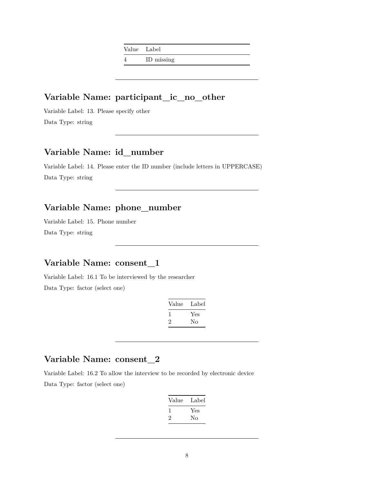Value Label

4 ID missing

#### **Variable Name: participant\_ic\_no\_other**

Variable Label: 13. Please specify other Data Type: string

### **Variable Name: id\_number**

Variable Label: 14. Please enter the ID number (include letters in UPPERCASE) Data Type: string

# **Variable Name: phone\_number**

Variable Label: 15. Phone number Data Type: string

### **Variable Name: consent\_1**

Variable Label: 16.1 To be interviewed by the researcher

Data Type: factor (select one)

| Value | Label |
|-------|-------|
|       | Yes   |
| ۰,    | Nο    |
|       |       |

#### **Variable Name: consent\_2**

Variable Label: 16.2 To allow the interview to be recorded by electronic device Data Type: factor (select one)

| Value        | Label |
|--------------|-------|
| $\mathbf{I}$ | Yes   |
| '2           | No    |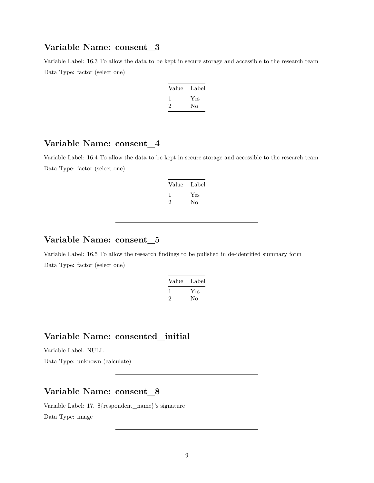#### **Variable Name: consent\_3**

Variable Label: 16.3 To allow the data to be kept in secure storage and accessible to the research team Data Type: factor (select one)

| Value | Label |
|-------|-------|
|       | Yes   |
| ۰,    | No    |

#### **Variable Name: consent\_4**

Variable Label: 16.4 To allow the data to be kept in secure storage and accessible to the research team Data Type: factor (select one)

| Value              | Label     |
|--------------------|-----------|
| $\mathbf{I}$<br>'2 | Yes<br>Nο |
|                    |           |

# **Variable Name: consent\_5**

Variable Label: 16.5 To allow the research findings to be pulished in de-identified summary form Data Type: factor (select one)

| Value        | Label |
|--------------|-------|
| $\mathbf{I}$ | Yes   |
| 2            | Nο    |
|              |       |

### **Variable Name: consented\_initial**

Variable Label: NULL

Data Type: unknown (calculate)

### **Variable Name: consent\_8**

Variable Label: 17. \${respondent\_name}'s signature Data Type: image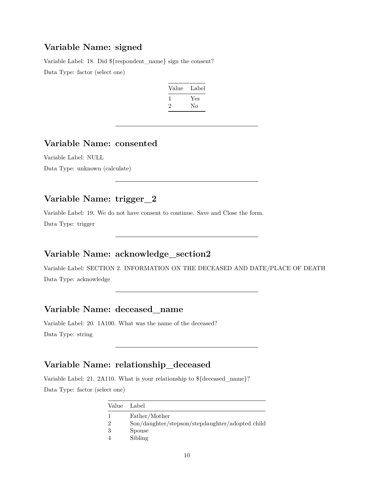#### **Variable Name: signed**

Variable Label: 18. Did \${respondent\_name} sign the consent? Data Type: factor (select one)

| Value | Label |
|-------|-------|
|       | Yes   |
| ۰,    | Nο    |

#### **Variable Name: consented**

Variable Label: NULL Data Type: unknown (calculate)

# **Variable Name: trigger\_2**

Variable Label: 19. We do not have consent to continue. Save and Close the form. Data Type: trigger

# **Variable Name: acknowledge\_section2**

Variable Label: SECTION 2. INFORMATION ON THE DECEASED AND DATE/PLACE OF DEATH Data Type: acknowledge

# **Variable Name: deceased\_name**

Variable Label: 20. 1A100. What was the name of the deceased? Data Type: string

# **Variable Name: relationship\_deceased**

Variable Label: 21. 2A110. What is your relationship to \${deceased\_name}? Data Type: factor (select one)

| Value | Label                                           |
|-------|-------------------------------------------------|
|       | Father/Mother                                   |
| 2     | Son/daughter/stepson/stepdaughter/adopted child |
| 3     | Spouse                                          |
|       | Sibling                                         |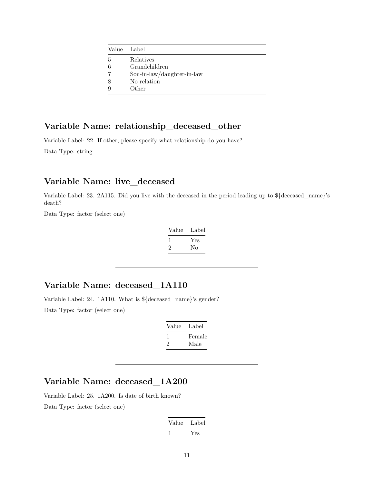| Value | Label                      |
|-------|----------------------------|
| 5     | Relatives                  |
| 6     | Grandchildren              |
| 7     | Son-in-law/daughter-in-law |
| 8     | No relation                |
| 9     | Other                      |
|       |                            |

# **Variable Name: relationship\_deceased\_other**

Variable Label: 22. If other, please specify what relationship do you have?

Data Type: string

### **Variable Name: live\_deceased**

Variable Label: 23. 2A115. Did you live with the deceased in the period leading up to \${deceased\_name}'s death?

Data Type: factor (select one)

| Label |
|-------|
| Yes   |
| No    |
|       |

#### **Variable Name: deceased\_1A110**

Variable Label: 24. 1A110. What is \${deceased\_name}'s gender? Data Type: factor (select one)

| Value | Label  |
|-------|--------|
|       | Female |
| ソ.    | Male   |

# **Variable Name: deceased\_1A200**

Variable Label: 25. 1A200. Is date of birth known? Data Type: factor (select one)

| Value | Label |
|-------|-------|
|       | Yes   |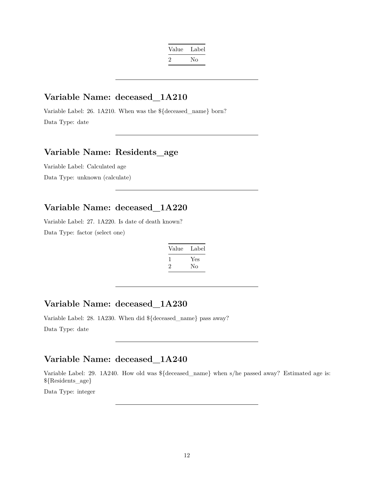| Value | Label |
|-------|-------|
| ۰,    | Nο    |

### **Variable Name: deceased\_1A210**

Variable Label: 26. 1A210. When was the \${deceased\_name} born? Data Type: date

# **Variable Name: Residents\_age**

Variable Label: Calculated age Data Type: unknown (calculate)

# **Variable Name: deceased\_1A220**

Variable Label: 27. 1A220. Is date of death known? Data Type: factor (select one)

| Value        | Label |
|--------------|-------|
| $\mathbf{I}$ | Yes   |
| $\cdot$      | No    |

### **Variable Name: deceased\_1A230**

Variable Label: 28. 1A230. When did \${deceased\_name} pass away? Data Type: date

#### **Variable Name: deceased\_1A240**

Variable Label: 29. 1A240. How old was \${deceased\_name} when s/he passed away? Estimated age is: \${Residents\_age}

Data Type: integer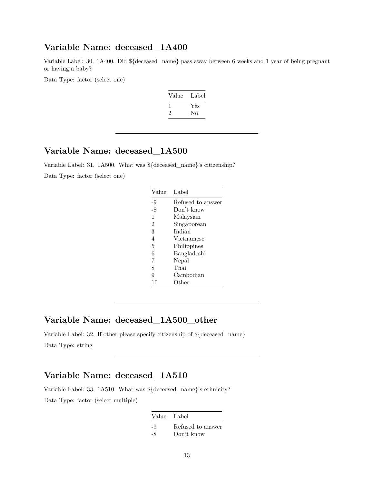### **Variable Name: deceased\_1A400**

Variable Label: 30. 1A400. Did \${deceased\_name} pass away between 6 weeks and 1 year of being pregnant or having a baby?

Data Type: factor (select one)

| Value | Label |
|-------|-------|
|       | Yes   |
| ۰,    | Nο    |

#### **Variable Name: deceased\_1A500**

Variable Label: 31. 1A500. What was \${deceased\_name}'s citizenship? Data Type: factor (select one)

| Value          | Label             |
|----------------|-------------------|
| -9             | Refused to answer |
| -8             | Don't know        |
| 1              | Malaysian         |
| $\overline{2}$ | Singaporean       |
| 3              | Indian            |
| 4              | Vietnamese        |
| 5              | Philippines       |
| 6              | Bangladeshi       |
| 7              | Nepal             |
| 8              | Thai              |
| 9              | Cambodian         |
| 10             | Other             |

### **Variable Name: deceased\_1A500\_other**

Variable Label: 32. If other please specify citizenship of \${deceased\_name} Data Type: string

#### **Variable Name: deceased\_1A510**

Variable Label: 33. 1A510. What was \${deceased\_name}'s ethnicity? Data Type: factor (select multiple)

| Value Label |                   |
|-------------|-------------------|
| -9          | Refused to answer |
| -8          | Don't know        |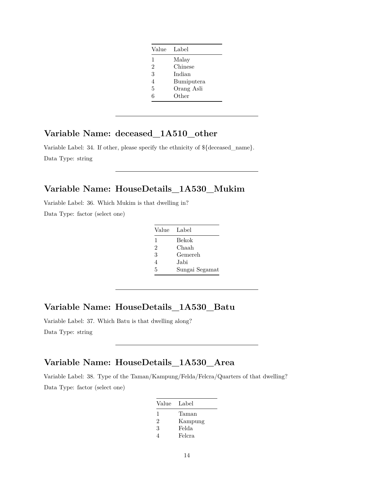| Value          | Label      |
|----------------|------------|
| 1              | Malay      |
| $\overline{2}$ | Chinese    |
| 3              | Indian     |
| $\overline{4}$ | Bumiputera |
| 5              | Orang Asli |
| 6              | Other      |

# **Variable Name: deceased\_1A510\_other**

Variable Label: 34. If other, please specify the ethnicity of \${deceased\_name}. Data Type: string

# **Variable Name: HouseDetails\_1A530\_Mukim**

Variable Label: 36. Which Mukim is that dwelling in? Data Type: factor (select one)

| Value          | Label          |
|----------------|----------------|
| 1              | Bekok          |
| $\overline{2}$ | Chaah          |
| 3              | Gemereh        |
| 4              | Jabi           |
| 5              | Sungai Segamat |

### **Variable Name: HouseDetails\_1A530\_Batu**

Variable Label: 37. Which Batu is that dwelling along? Data Type: string

#### **Variable Name: HouseDetails\_1A530\_Area**

Variable Label: 38. Type of the Taman/Kampung/Felda/Felcra/Quarters of that dwelling? Data Type: factor (select one)

| Value | Label   |
|-------|---------|
| 1     | Taman   |
| 2     | Kampung |
| 3     | Felda   |
|       | Felcra  |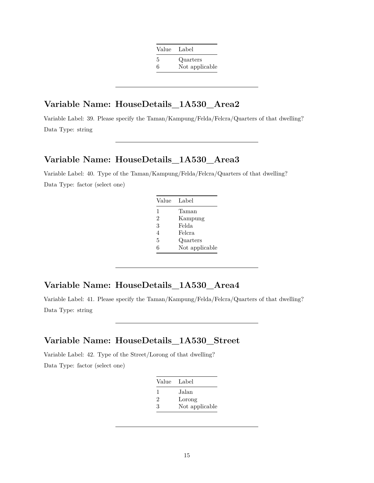| Value | Label          |
|-------|----------------|
| 5     | Quarters       |
| 6     | Not applicable |

#### **Variable Name: HouseDetails\_1A530\_Area2**

Variable Label: 39. Please specify the Taman/Kampung/Felda/Felcra/Quarters of that dwelling? Data Type: string

#### **Variable Name: HouseDetails\_1A530\_Area3**

Variable Label: 40. Type of the Taman/Kampung/Felda/Felcra/Quarters of that dwelling? Data Type: factor (select one)

| Value          | Label          |
|----------------|----------------|
| 1              | Taman          |
| $\overline{2}$ | Kampung        |
| 3              | Felda          |
| 4              | Felcra         |
| 5              | Quarters       |
| 6              | Not applicable |

#### **Variable Name: HouseDetails\_1A530\_Area4**

Variable Label: 41. Please specify the Taman/Kampung/Felda/Felcra/Quarters of that dwelling? Data Type: string

# **Variable Name: HouseDetails\_1A530\_Street**

Variable Label: 42. Type of the Street/Lorong of that dwelling? Data Type: factor (select one)

| Value | - Label        |
|-------|----------------|
| -1    | Jalan          |
| 2     | Lorong         |
| 3     | Not applicable |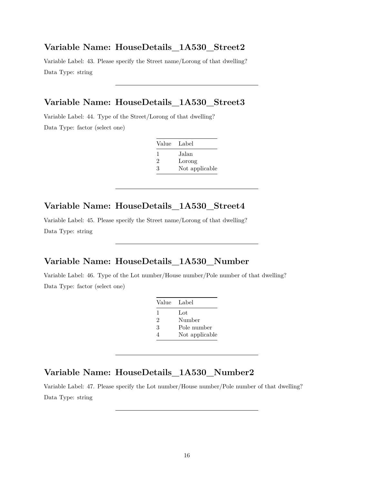#### **Variable Name: HouseDetails\_1A530\_Street2**

Variable Label: 43. Please specify the Street name/Lorong of that dwelling? Data Type: string

#### **Variable Name: HouseDetails\_1A530\_Street3**

Variable Label: 44. Type of the Street/Lorong of that dwelling? Data Type: factor (select one)

| Value Label |                |
|-------------|----------------|
| ı           | Jalan          |
| 2           | Lorong         |
| З           | Not applicable |

# **Variable Name: HouseDetails\_1A530\_Street4**

Variable Label: 45. Please specify the Street name/Lorong of that dwelling? Data Type: string

#### **Variable Name: HouseDetails\_1A530\_Number**

Variable Label: 46. Type of the Lot number/House number/Pole number of that dwelling? Data Type: factor (select one)

| Value Label |                |
|-------------|----------------|
| 1           | Lot            |
| 2           | Number         |
| 3           | Pole number    |
| 4           | Not applicable |

#### **Variable Name: HouseDetails\_1A530\_Number2**

Variable Label: 47. Please specify the Lot number/House number/Pole number of that dwelling? Data Type: string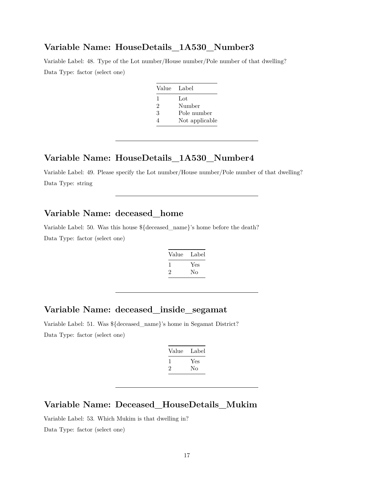#### **Variable Name: HouseDetails\_1A530\_Number3**

Variable Label: 48. Type of the Lot number/House number/Pole number of that dwelling? Data Type: factor (select one)

| Value Label |                |
|-------------|----------------|
| 1           | Lot            |
| 2           | Number         |
| 3           | Pole number    |
| 4           | Not applicable |

#### **Variable Name: HouseDetails\_1A530\_Number4**

Variable Label: 49. Please specify the Lot number/House number/Pole number of that dwelling? Data Type: string

#### **Variable Name: deceased\_home**

Variable Label: 50. Was this house \${deceased\_name}'s home before the death?

Data Type: factor (select one)

| Value | Label |
|-------|-------|
| -1    | Yes   |
| ۰,    | No    |

### **Variable Name: deceased\_inside\_segamat**

Variable Label: 51. Was \${deceased\_name}'s home in Segamat District? Data Type: factor (select one)

| Value | Label |
|-------|-------|
|       | Yes   |
| ۰,    | Nο    |
|       |       |

#### **Variable Name: Deceased\_HouseDetails\_Mukim**

Variable Label: 53. Which Mukim is that dwelling in? Data Type: factor (select one)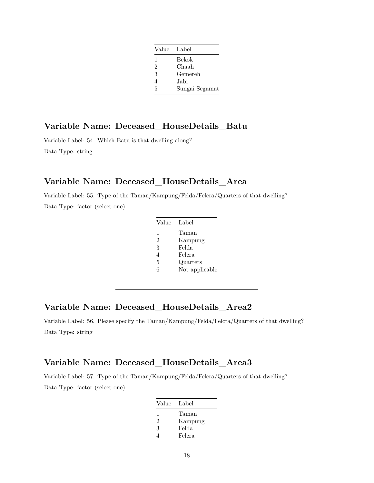| Value Label    |                |
|----------------|----------------|
| 1              | Bekok          |
| $\overline{2}$ | Chaah          |
| 3              | Gemereh        |
| 4              | Jabi           |
| 5              | Sungai Segamat |

#### **Variable Name: Deceased\_HouseDetails\_Batu**

Variable Label: 54. Which Batu is that dwelling along? Data Type: string

### **Variable Name: Deceased\_HouseDetails\_Area**

Variable Label: 55. Type of the Taman/Kampung/Felda/Felcra/Quarters of that dwelling? Data Type: factor (select one)

| Value          | Label          |
|----------------|----------------|
| 1              | Taman          |
| $\mathfrak{D}$ | Kampung        |
| 3              | Felda          |
| 4              | Felcra         |
| 5              | Quarters       |
| հ              | Not applicable |

#### **Variable Name: Deceased\_HouseDetails\_Area2**

Variable Label: 56. Please specify the Taman/Kampung/Felda/Felcra/Quarters of that dwelling? Data Type: string

#### **Variable Name: Deceased\_HouseDetails\_Area3**

Variable Label: 57. Type of the Taman/Kampung/Felda/Felcra/Quarters of that dwelling? Data Type: factor (select one)

| Value | Label   |
|-------|---------|
| 1     | Taman   |
| 2     | Kampung |
| 3     | Felda   |
|       | Felcra  |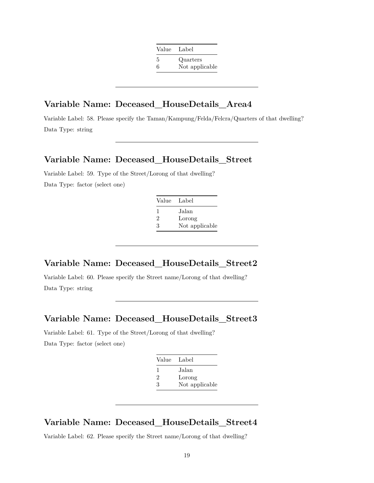| Value | Label          |
|-------|----------------|
| 5     | Quarters       |
| 6     | Not applicable |

#### **Variable Name: Deceased\_HouseDetails\_Area4**

Variable Label: 58. Please specify the Taman/Kampung/Felda/Felcra/Quarters of that dwelling? Data Type: string

#### **Variable Name: Deceased\_HouseDetails\_Street**

Variable Label: 59. Type of the Street/Lorong of that dwelling? Data Type: factor (select one)

| Value Label |                |
|-------------|----------------|
| ı.          | Jalan          |
| 2           | Lorong         |
| З           | Not applicable |

#### **Variable Name: Deceased\_HouseDetails\_Street2**

Variable Label: 60. Please specify the Street name/Lorong of that dwelling? Data Type: string

#### **Variable Name: Deceased\_HouseDetails\_Street3**

Variable Label: 61. Type of the Street/Lorong of that dwelling? Data Type: factor (select one)

| Value Label |                |
|-------------|----------------|
| 1           | Jalan          |
| 2           | Lorong         |
| З           | Not applicable |

#### **Variable Name: Deceased\_HouseDetails\_Street4**

Variable Label: 62. Please specify the Street name/Lorong of that dwelling?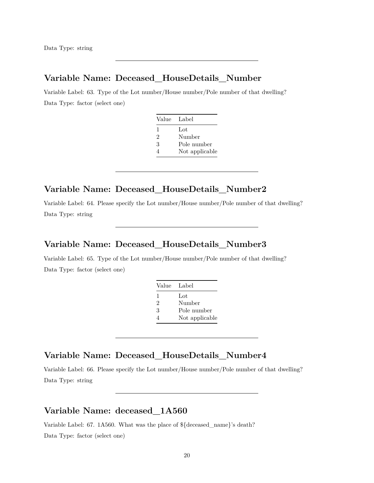#### **Variable Name: Deceased\_HouseDetails\_Number**

Variable Label: 63. Type of the Lot number/House number/Pole number of that dwelling? Data Type: factor (select one)

| Value Label |                |
|-------------|----------------|
| 1           | Lot            |
| 2           | Number         |
| 3           | Pole number    |
|             | Not applicable |

#### **Variable Name: Deceased\_HouseDetails\_Number2**

Variable Label: 64. Please specify the Lot number/House number/Pole number of that dwelling? Data Type: string

#### **Variable Name: Deceased\_HouseDetails\_Number3**

Variable Label: 65. Type of the Lot number/House number/Pole number of that dwelling? Data Type: factor (select one)

| Value | Label          |
|-------|----------------|
| 1     | Lot            |
| 2     | Number         |
| 3     | Pole number    |
|       | Not applicable |

### **Variable Name: Deceased\_HouseDetails\_Number4**

Variable Label: 66. Please specify the Lot number/House number/Pole number of that dwelling? Data Type: string

#### **Variable Name: deceased\_1A560**

Variable Label: 67. 1A560. What was the place of \${deceased\_name}'s death? Data Type: factor (select one)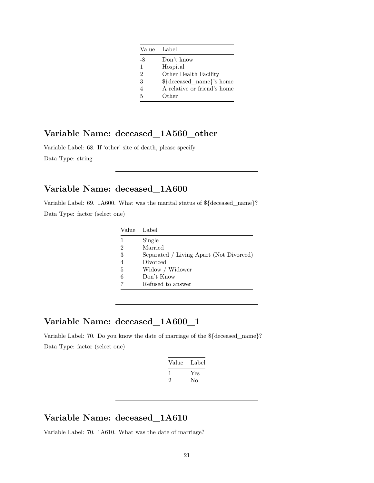|                | Value Label                 |
|----------------|-----------------------------|
| -8             | Don't know                  |
| $\mathbf{1}$   | Hospital                    |
| $\overline{2}$ | Other Health Facility       |
| 3              | \${deceased_name}'s home    |
| 4              | A relative or friend's home |
| 5              | Other                       |

# **Variable Name: deceased\_1A560\_other**

Variable Label: 68. If 'other' site of death, please specify Data Type: string

# **Variable Name: deceased\_1A600**

Variable Label: 69. 1A600. What was the marital status of \${deceased\_name}? Data Type: factor (select one)

|                | Value Label                             |
|----------------|-----------------------------------------|
| 1              | Single                                  |
| $\overline{2}$ | Married                                 |
| 3              | Separated / Living Apart (Not Divorced) |
| $\overline{4}$ | Divorced                                |
| 5              | Widow / Widower                         |
| 6              | Don't Know                              |
|                | Refused to answer                       |

# **Variable Name: deceased\_1A600\_1**

Variable Label: 70. Do you know the date of marriage of the \${deceased\_name}? Data Type: factor (select one)

| Value | Label |
|-------|-------|
|       | Yes   |
| '2    | Nο    |
|       |       |

#### **Variable Name: deceased\_1A610**

Variable Label: 70. 1A610. What was the date of marriage?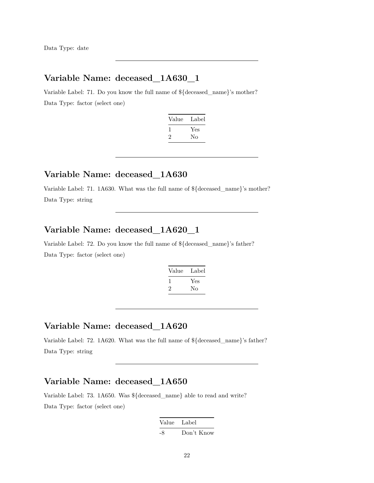Data Type: date

# **Variable Name: deceased\_1A630\_1**

Variable Label: 71. Do you know the full name of \${deceased\_name}'s mother? Data Type: factor (select one)

| Value        | Label |
|--------------|-------|
| $\mathbf{I}$ | Yes   |
| $\cdot$      | Nο    |

#### **Variable Name: deceased\_1A630**

Variable Label: 71. 1A630. What was the full name of \${deceased\_name}'s mother? Data Type: string

#### **Variable Name: deceased\_1A620\_1**

Variable Label: 72. Do you know the full name of \${deceased\_name}'s father? Data Type: factor (select one)

| Value | Label |
|-------|-------|
| 1     | Yes   |
| '2    | No    |

### **Variable Name: deceased\_1A620**

Variable Label: 72. 1A620. What was the full name of \${deceased\_name}'s father? Data Type: string

### **Variable Name: deceased\_1A650**

Variable Label: 73. 1A650. Was \${deceased\_name} able to read and write? Data Type: factor (select one)

> Value Label -8 Don't Know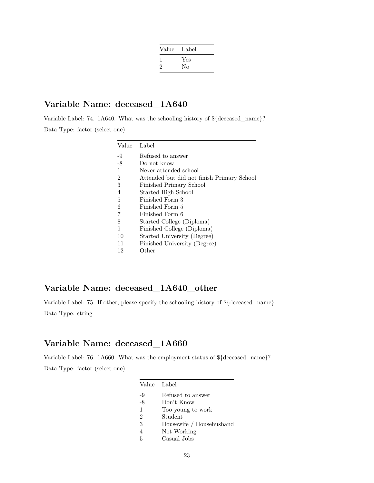| Value | Label |
|-------|-------|
|       | Yes   |
| 2     | No    |
|       |       |

### **Variable Name: deceased\_1A640**

Variable Label: 74. 1A640. What was the schooling history of \${deceased\_name}? Data Type: factor (select one)

| Value | Label                                      |
|-------|--------------------------------------------|
| $-9$  | Refused to answer                          |
| $-8$  | Do not know                                |
| 1     | Never attended school                      |
| 2     | Attended but did not finish Primary School |
| 3     | Finished Primary School                    |
| 4     | Started High School                        |
| 5     | Finished Form 3                            |
| 6     | Finished Form 5                            |
| 7     | Finished Form 6                            |
| 8     | Started College (Diploma)                  |
| 9     | Finished College (Diploma)                 |
| 10    | Started University (Degree)                |
| 11    | Finished University (Degree)               |
| 12    | Other                                      |

# **Variable Name: deceased\_1A640\_other**

Variable Label: 75. If other, please specify the schooling history of \${deceased\_name}. Data Type: string

# **Variable Name: deceased\_1A660**

Variable Label: 76. 1A660. What was the employment status of \${deceased\_name}? Data Type: factor (select one)

|                | Value Label              |
|----------------|--------------------------|
| $-9$           | Refused to answer        |
| $-8$           | Don't Know               |
| $\mathbf{1}$   | Too young to work        |
| $\overline{2}$ | Student                  |
| 3              | Housewife / Househusband |
| 4              | Not Working              |
| 5              | Casual Jobs              |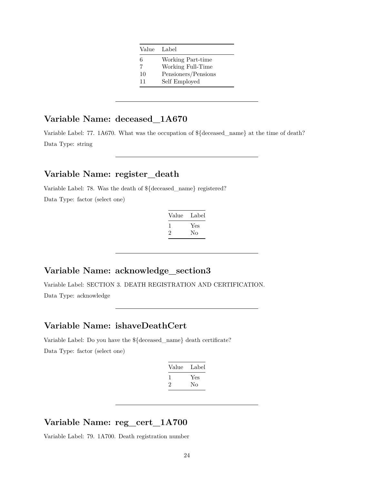| Value Label         |
|---------------------|
| Working Part-time   |
| Working Full-Time   |
| Pensioners/Pensions |
| Self Employed       |
|                     |

# **Variable Name: deceased\_1A670**

Variable Label: 77. 1A670. What was the occupation of \${deceased\_name} at the time of death? Data Type: string

#### **Variable Name: register\_death**

Variable Label: 78. Was the death of \${deceased\_name} registered? Data Type: factor (select one)

| Value   | Label |
|---------|-------|
|         | Yes   |
| $\cdot$ | Nο    |

### **Variable Name: acknowledge\_section3**

Variable Label: SECTION 3. DEATH REGISTRATION AND CERTIFICATION. Data Type: acknowledge

#### **Variable Name: ishaveDeathCert**

Variable Label: Do you have the \${deceased\_name} death certificate? Data Type: factor (select one)

| Value | Label |
|-------|-------|
|       | Yes   |
| '2    | No    |
|       |       |

# **Variable Name: reg\_cert\_1A700**

Variable Label: 79. 1A700. Death registration number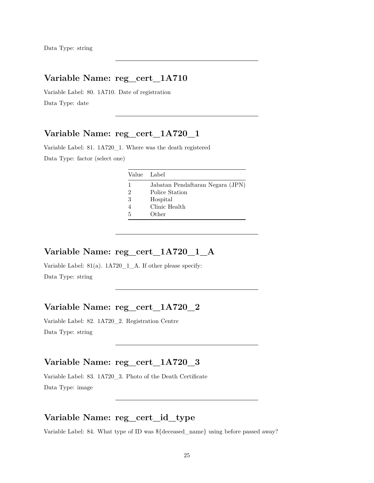### **Variable Name: reg\_cert\_1A710**

Variable Label: 80. 1A710. Date of registration Data Type: date

#### **Variable Name: reg\_cert\_1A720\_1**

Variable Label: 81. 1A720\_1. Where was the death registered Data Type: factor (select one)

|   | Value Label                                        |
|---|----------------------------------------------------|
| 2 | Jabatan Pendaftaran Negara (JPN)<br>Police Station |
| 3 | Hospital                                           |
| 5 | Clinic Health<br>Other                             |

#### **Variable Name: reg\_cert\_1A720\_1\_A**

Variable Label: 81(a). 1A720\_1\_A. If other please specify: Data Type: string

#### **Variable Name: reg\_cert\_1A720\_2**

Variable Label: 82. 1A720\_2. Registration Centre Data Type: string

#### **Variable Name: reg\_cert\_1A720\_3**

Variable Label: 83. 1A720\_3. Photo of the Death Certificate Data Type: image

### **Variable Name: reg\_cert\_id\_type**

Variable Label: 84. What type of ID was \${deceased\_name} using before passed away?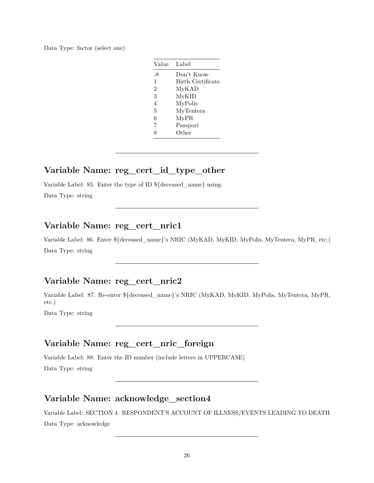|  |  | Data Type: factor (select one) |  |  |  |
|--|--|--------------------------------|--|--|--|
|--|--|--------------------------------|--|--|--|

| Value          | Label             |
|----------------|-------------------|
| -8             | Don't Know        |
| 1              | Birth Certificate |
| $\overline{2}$ | MyKAD             |
| 3              | MyKID             |
| $\overline{4}$ | MyPolis           |
| 5              | MyTentera         |
| 6              | MyPR              |
| 7              | Passport          |
| 8              | $\mathrm{Other}$  |

### **Variable Name: reg\_cert\_id\_type\_other**

Variable Label: 85. Enter the type of ID \${deceased\_name} using.

Data Type: string

### **Variable Name: reg\_cert\_nric1**

Variable Label: 86. Enter \${deceased\_name}'s NRIC (MyKAD, MyKID, MyPolis, MyTentera, MyPR, etc.) Data Type: string

#### **Variable Name: reg\_cert\_nric2**

Variable Label: 87. Re-enter \${deceased\_name}'s NRIC (MyKAD, MyKID, MyPolis, MyTentera, MyPR, etc.)

Data Type: string

# **Variable Name: reg\_cert\_nric\_foreign**

Variable Label: 88. Enter the ID number (include letters in UPPERCASE) Data Type: string

#### **Variable Name: acknowledge\_section4**

Variable Label: SECTION 4. RESPONDENT'S ACCOUNT OF ILLNESS/EVENTS LEADING TO DEATH Data Type: acknowledge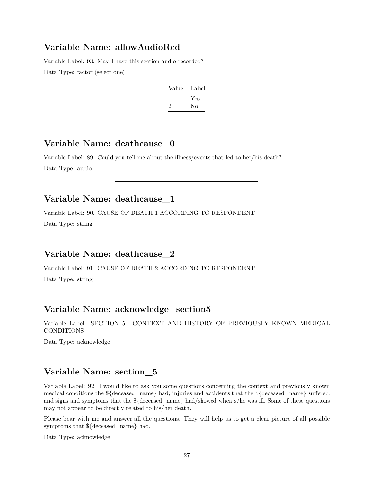#### **Variable Name: allowAudioRcd**

Variable Label: 93. May I have this section audio recorded? Data Type: factor (select one)

| Value | Label |
|-------|-------|
|       | Yes   |
| '2    | Nο    |

#### **Variable Name: deathcause\_0**

Variable Label: 89. Could you tell me about the illness/events that led to her/his death? Data Type: audio

# **Variable Name: deathcause\_1**

Variable Label: 90. CAUSE OF DEATH 1 ACCORDING TO RESPONDENT Data Type: string

# **Variable Name: deathcause\_2**

Variable Label: 91. CAUSE OF DEATH 2 ACCORDING TO RESPONDENT Data Type: string

# **Variable Name: acknowledge\_section5**

Variable Label: SECTION 5. CONTEXT AND HISTORY OF PREVIOUSLY KNOWN MEDICAL CONDITIONS

Data Type: acknowledge

# **Variable Name: section\_5**

Variable Label: 92. I would like to ask you some questions concerning the context and previously known medical conditions the \${deceased\_name} had; injuries and accidents that the \${deceased\_name} suffered; and signs and symptoms that the  $\frac{1}{2}$  deceased name} had/showed when s/he was ill. Some of these questions may not appear to be directly related to his/her death.

Please bear with me and answer all the questions. They will help us to get a clear picture of all possible symptoms that \${deceased\_name} had.

Data Type: acknowledge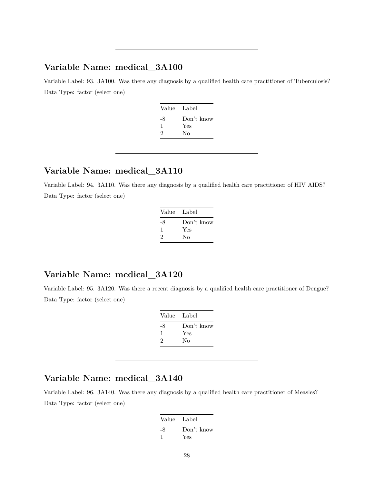### **Variable Name: medical\_3A100**

Variable Label: 93. 3A100. Was there any diagnosis by a qualified health care practitioner of Tuberculosis? Data Type: factor (select one)

| Value Label |            |
|-------------|------------|
| -8          | Don't know |
| ı           | Yes        |
| 2           | Nο         |

#### **Variable Name: medical\_3A110**

Variable Label: 94. 3A110. Was there any diagnosis by a qualified health care practitioner of HIV AIDS? Data Type: factor (select one)

| Value Label |            |
|-------------|------------|
| -8          | Don't know |
| 1           | Yes        |
| 2           | Nο         |
|             |            |

### **Variable Name: medical\_3A120**

Variable Label: 95. 3A120. Was there a recent diagnosis by a qualified health care practitioner of Dengue? Data Type: factor (select one)

| Value | Label      |
|-------|------------|
| -8    | Don't know |
| ı     | Yes        |
| 2     | Nο         |

# **Variable Name: medical\_3A140**

Variable Label: 96. 3A140. Was there any diagnosis by a qualified health care practitioner of Measles? Data Type: factor (select one)

| Value Label |            |
|-------------|------------|
| -8          | Don't know |
|             | Yes        |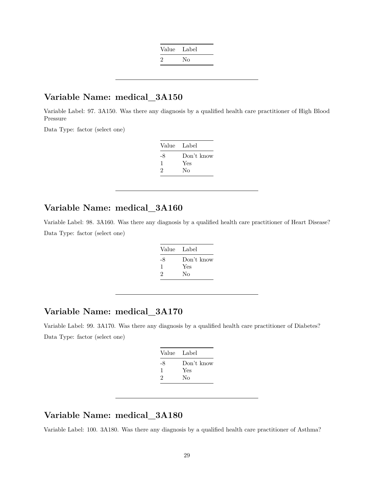| Value Label |    |
|-------------|----|
| $\cdot$     | Nο |

# **Variable Name: medical\_3A150**

Variable Label: 97. 3A150. Was there any diagnosis by a qualified health care practitioner of High Blood Pressure

Data Type: factor (select one)

| Value | Label      |
|-------|------------|
| -8    | Don't know |
|       | Yes        |
| 2     | Nο         |

#### **Variable Name: medical\_3A160**

Variable Label: 98. 3A160. Was there any diagnosis by a qualified health care practitioner of Heart Disease? Data Type: factor (select one)

| Value Label |
|-------------|
| Don't know  |
| Yes         |
| Nο          |
|             |

### **Variable Name: medical\_3A170**

Variable Label: 99. 3A170. Was there any diagnosis by a qualified health care practitioner of Diabetes? Data Type: factor (select one)

| Value Label |            |
|-------------|------------|
| -8          | Don't know |
| -1          | Yes        |
| 2           | No         |
|             |            |

# **Variable Name: medical\_3A180**

Variable Label: 100. 3A180. Was there any diagnosis by a qualified health care practitioner of Asthma?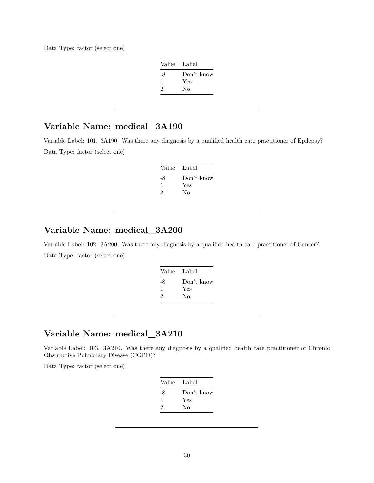Data Type: factor (select one)

| Value Label |            |
|-------------|------------|
| -8          | Don't know |
| ı           | Yes        |
| 2           | No         |

# **Variable Name: medical\_3A190**

Variable Label: 101. 3A190. Was there any diagnosis by a qualified health care practitioner of Epilepsy? Data Type: factor (select one)

| Value Label |            |
|-------------|------------|
| -8          | Don't know |
|             | Yes        |
| 2           | Nο         |

### **Variable Name: medical\_3A200**

Variable Label: 102. 3A200. Was there any diagnosis by a qualified health care practitioner of Cancer? Data Type: factor (select one)

| Value Label |            |
|-------------|------------|
| -8          | Don't know |
| 1           | Yes        |
| 2           | Nο         |
|             |            |

#### **Variable Name: medical\_3A210**

Variable Label: 103. 3A210. Was there any diagnosis by a qualified health care practitioner of Chronic Obstructive Pulmonary Disease (COPD)?

Data Type: factor (select one)

| Value Label |            |
|-------------|------------|
| -8          | Don't know |
| 1           | Yes        |
| 2           | Nο         |
|             |            |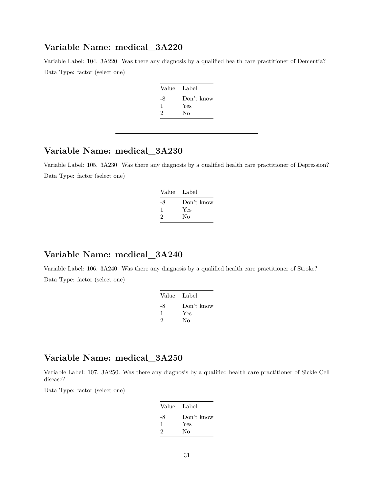#### **Variable Name: medical\_3A220**

Variable Label: 104. 3A220. Was there any diagnosis by a qualified health care practitioner of Dementia? Data Type: factor (select one)

| Value Label |            |
|-------------|------------|
| -8          | Don't know |
| 1           | Yes        |
| 2           | Nο         |
|             |            |

# **Variable Name: medical\_3A230**

Variable Label: 105. 3A230. Was there any diagnosis by a qualified health care practitioner of Depression? Data Type: factor (select one)

| Value | Label      |
|-------|------------|
| -8    | Don't know |
| ı     | Yes        |
| 2     | Nο         |
|       |            |

#### **Variable Name: medical\_3A240**

Variable Label: 106. 3A240. Was there any diagnosis by a qualified health care practitioner of Stroke? Data Type: factor (select one)

| Label      |
|------------|
| Don't know |
| Yes        |
| No         |
|            |

### **Variable Name: medical\_3A250**

Variable Label: 107. 3A250. Was there any diagnosis by a qualified health care practitioner of Sickle Cell disease?

Data Type: factor (select one)

| Value Label                 |            |
|-----------------------------|------------|
| -8                          | Don't know |
| ı                           | Yes        |
| $\mathcal{D}_{\mathcal{L}}$ | Nο         |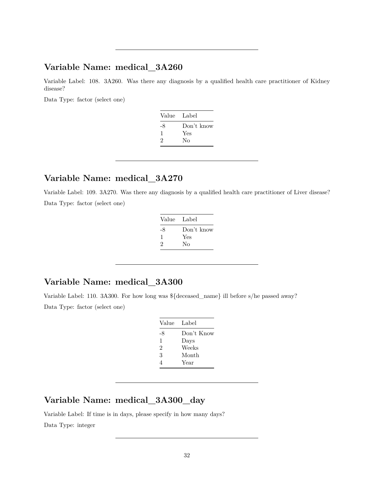#### **Variable Name: medical\_3A260**

Variable Label: 108. 3A260. Was there any diagnosis by a qualified health care practitioner of Kidney disease?

Data Type: factor (select one)

| Value Label |            |
|-------------|------------|
| -8          | Don't know |
| 1           | Yes        |
| 2           | Nο         |
|             |            |

#### **Variable Name: medical\_3A270**

Variable Label: 109. 3A270. Was there any diagnosis by a qualified health care practitioner of Liver disease? Data Type: factor (select one)

| Label      |
|------------|
| Don't know |
| Yes        |
| No         |
|            |

#### **Variable Name: medical\_3A300**

Variable Label: 110. 3A300. For how long was \${deceased\_name} ill before s/he passed away? Data Type: factor (select one)

| Value | Label      |
|-------|------------|
| -8    | Don't Know |
| 1     | Days       |
| 2     | Weeks      |
| 3     | Month      |
| 4     | Year       |

# **Variable Name: medical\_3A300\_day**

Variable Label: If time is in days, please specify in how many days? Data Type: integer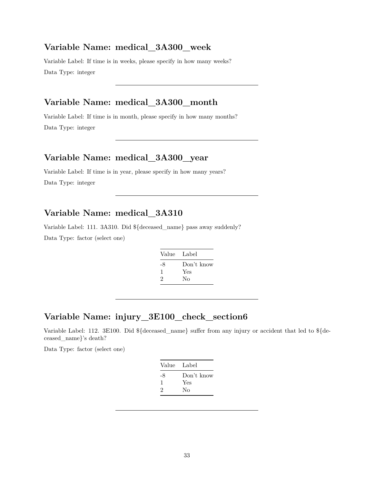#### **Variable Name: medical\_3A300\_week**

Variable Label: If time is in weeks, please specify in how many weeks? Data Type: integer

# **Variable Name: medical\_3A300\_month**

Variable Label: If time is in month, please specify in how many months? Data Type: integer

#### **Variable Name: medical\_3A300\_year**

Variable Label: If time is in year, please specify in how many years? Data Type: integer

#### **Variable Name: medical\_3A310**

Variable Label: 111. 3A310. Did \${deceased\_name} pass away suddenly?

Data Type: factor (select one)

| Value Label |            |
|-------------|------------|
| -8          | Don't know |
| 1<br>2      | Yes<br>No  |
|             |            |

## **Variable Name: injury\_3E100\_check\_section6**

Variable Label: 112. 3E100. Did \${deceased\_name} suffer from any injury or accident that led to \${deceased\_name}'s death?

Data Type: factor (select one)

| Value | Label      |
|-------|------------|
| -8    | Don't know |
|       | Yes        |
| 2     | No         |
|       |            |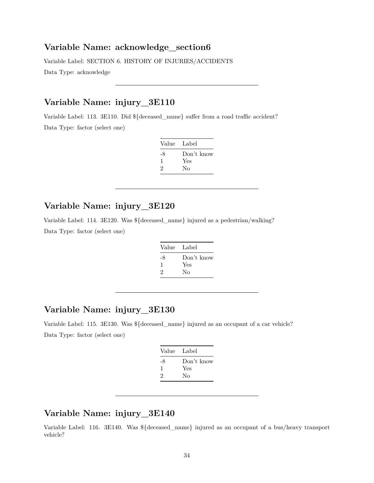#### **Variable Name: acknowledge\_section6**

Variable Label: SECTION 6. HISTORY OF INJURIES/ACCIDENTS

Data Type: acknowledge

# **Variable Name: injury\_3E110**

Variable Label: 113. 3E110. Did \${deceased\_name} suffer from a road traffic accident? Data Type: factor (select one)

| Value Label |            |
|-------------|------------|
| -8          | Don't know |
| 1           | Yes        |
| 2           | Nο         |

### **Variable Name: injury\_3E120**

Variable Label: 114. 3E120. Was \${deceased\_name} injured as a pedestrian/walking? Data Type: factor (select one)

| Value Label |            |
|-------------|------------|
| -8          | Don't know |
| J.          | Yes        |
| 2           | Nο         |

### **Variable Name: injury\_3E130**

Variable Label: 115. 3E130. Was \${deceased\_name} injured as an occupant of a car vehicle? Data Type: factor (select one)

| Value Label |            |
|-------------|------------|
| -8          | Don't know |
| ı           | Yes        |
| 2           | No         |
|             |            |

### **Variable Name: injury\_3E140**

Variable Label: 116. 3E140. Was \${deceased\_name} injured as an occupant of a bus/heavy transport vehicle?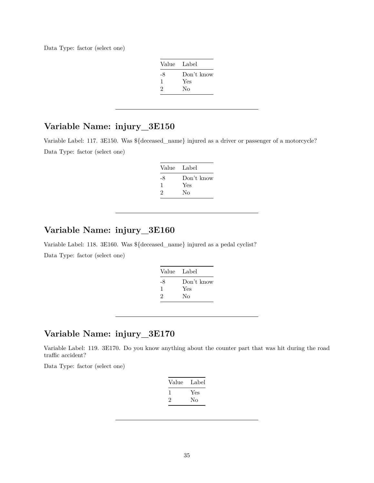Data Type: factor (select one)

| Value Label |            |
|-------------|------------|
| -8          | Don't know |
| 1           | Yes        |
| 2           | Nο         |

### **Variable Name: injury\_3E150**

Variable Label: 117. 3E150. Was \${deceased\_name} injured as a driver or passenger of a motorcycle? Data Type: factor (select one)

| Value Label |            |
|-------------|------------|
| -8          | Don't know |
| J.          | Yes        |
| 2           | Nο         |

# **Variable Name: injury\_3E160**

Variable Label: 118. 3E160. Was \${deceased\_name} injured as a pedal cyclist? Data Type: factor (select one)

| Value Label |            |
|-------------|------------|
| -8          | Don't know |
| -1          | Yes        |
| 2           | No         |
|             |            |

# **Variable Name: injury\_3E170**

Variable Label: 119. 3E170. Do you know anything about the counter part that was hit during the road traffic accident?

Data Type: factor (select one)

| Value | Label |
|-------|-------|
|       | Yes   |
| ۰,    | Nο    |
|       |       |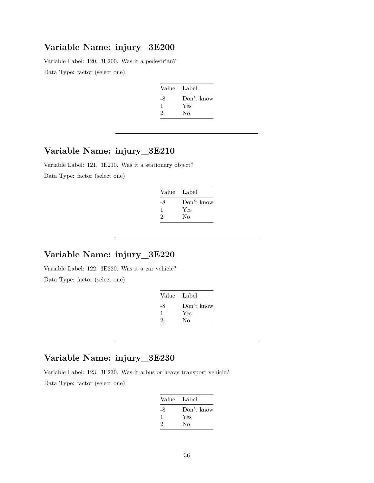#### **Variable Name: injury\_3E200**

Variable Label: 120. 3E200. Was it a pedestrian? Data Type: factor (select one)

| Value | Label      |
|-------|------------|
| -8    | Don't know |
| ı     | Yes        |
| 2     | Nο         |

# **Variable Name: injury\_3E210**

Variable Label: 121. 3E210. Was it a stationary object? Data Type: factor (select one)

| Value Label |            |
|-------------|------------|
| -8          | Don't know |
| л.          | Yes        |
| 2           | Nο         |
|             |            |

# **Variable Name: injury\_3E220**

Variable Label: 122. 3E220. Was it a car vehicle? Data Type: factor (select one)

| Value Label |                   |
|-------------|-------------------|
| -8<br>ı     | Don't know<br>Yes |
| 2           | Nο                |

# **Variable Name: injury\_3E230**

Variable Label: 123. 3E230. Was it a bus or heavy transport vehicle?

Data Type: factor (select one)

| Value Label |            |
|-------------|------------|
| -8          | Don't know |
| ı           | Yes        |
| 2           | Nο         |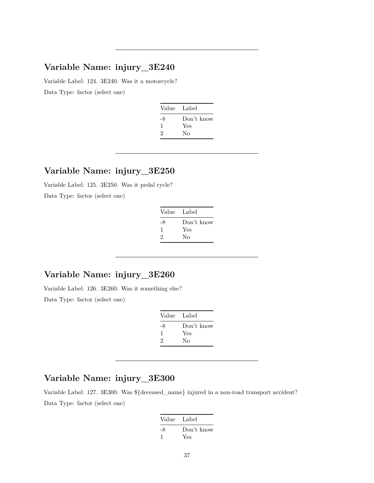Variable Label: 124. 3E240. Was it a motorcycle? Data Type: factor (select one)

| Value Label |
|-------------|
| Don't know  |
| Yes         |
| Nο          |
|             |

#### **Variable Name: injury\_3E250**

Variable Label: 125. 3E250. Was it pedal cycle? Data Type: factor (select one)

| Value Label |            |
|-------------|------------|
| -8          | Don't know |
| 1           | Yes        |
| 2           | Nο         |

## **Variable Name: injury\_3E260**

Variable Label: 126. 3E260. Was it something else? Data Type: factor (select one)

| Value Label |            |
|-------------|------------|
| -8          | Don't know |
| ı           | Yes        |
| 2           | No         |

## **Variable Name: injury\_3E300**

Variable Label: 127. 3E300. Was \${deceased\_name} injured in a non-road transport accident? Data Type: factor (select one)

| Value Label |            |
|-------------|------------|
| -8          | Don't know |
|             | Yes        |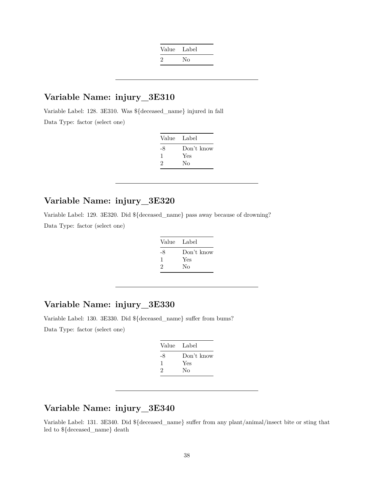| Value   | Label |
|---------|-------|
| $\cdot$ | Nο    |

Variable Label: 128. 3E310. Was \${deceased\_name} injured in fall Data Type: factor (select one)

| Value | Label      |
|-------|------------|
| -8    | Don't know |
|       | Yes        |
| 2     | Nο         |
|       |            |

#### **Variable Name: injury\_3E320**

Variable Label: 129. 3E320. Did \${deceased\_name} pass away because of drowning? Data Type: factor (select one)

| Value | Label      |
|-------|------------|
| -8    | Don't know |
| 1     | Yes        |
| 2     | Nο         |

## **Variable Name: injury\_3E330**

Variable Label: 130. 3E330. Did \${deceased\_name} suffer from bums? Data Type: factor (select one)

| Value Label |            |
|-------------|------------|
| -8          | Don't know |
| 1           | Yes        |
| 2           | Nο         |

## **Variable Name: injury\_3E340**

Variable Label: 131. 3E340. Did \${deceased\_name} suffer from any plant/animal/insect bite or sting that led to \${deceased\_name} death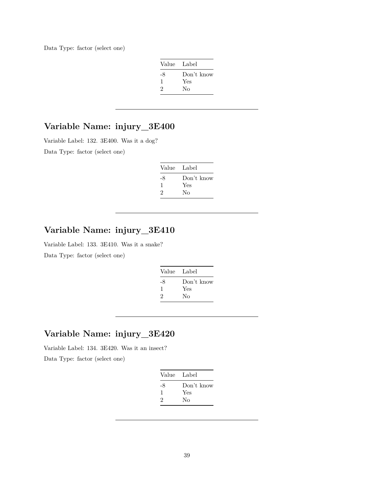Data Type: factor (select one)

| Value Label |            |
|-------------|------------|
| -8          | Don't know |
| 1           | Yes        |
| 2           | Nο         |

# **Variable Name: injury\_3E400**

Variable Label: 132. 3E400. Was it a dog?

Data Type: factor (select one)

| Value Label  |            |
|--------------|------------|
| -8           | Don't know |
| $\mathbf{I}$ | Yes        |
| 2            | Nο         |

# **Variable Name: injury\_3E410**

Variable Label: 133. 3E410. Was it a snake?

Data Type: factor (select one)

| Value Label |            |
|-------------|------------|
| -8          | Don't know |
| 1           | Yes        |
| 2           | Nο         |
|             |            |

# **Variable Name: injury\_3E420**

Variable Label: 134. 3E420. Was it an insect?

Data Type: factor (select one)

| Value Label  |            |
|--------------|------------|
| -8           | Don't know |
| $\mathbf{1}$ | Yes        |
| 2            | Nο         |
|              |            |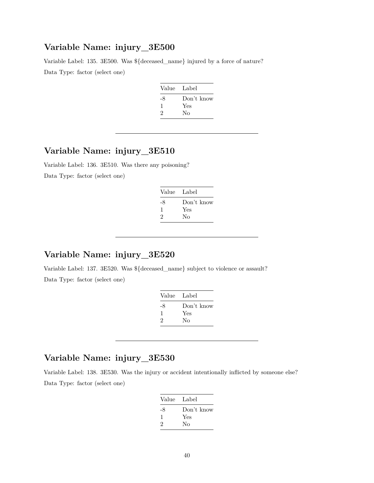Variable Label: 135. 3E500. Was \${deceased\_name} injured by a force of nature? Data Type: factor (select one)

| Value Label |            |
|-------------|------------|
| -8          | Don't know |
| ı           | Yes        |
| 2           | No         |
|             |            |

## **Variable Name: injury\_3E510**

Variable Label: 136. 3E510. Was there any poisoning? Data Type: factor (select one)

| Value Label |
|-------------|
| Don't know  |
| Yes         |
| Nο          |
|             |

## **Variable Name: injury\_3E520**

Variable Label: 137. 3E520. Was \${deceased\_name} subject to violence or assault? Data Type: factor (select one)

| - Label    |
|------------|
| Don't know |
| Yes        |
| Nο         |
|            |

## **Variable Name: injury\_3E530**

Variable Label: 138. 3E530. Was the injury or accident intentionally inflicted by someone else? Data Type: factor (select one)

| Value Label |            |
|-------------|------------|
| -8          | Don't know |
| J.          | Yes        |
| 2           | Nο         |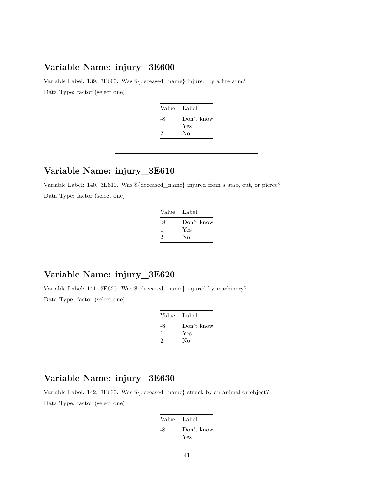Variable Label: 139. 3E600. Was \${deceased\_name} injured by a fire arm? Data Type: factor (select one)

| Value Label |            |
|-------------|------------|
| -8          | Don't know |
| ı           | Yes        |
| 2           | Nο         |
|             |            |

#### **Variable Name: injury\_3E610**

Variable Label: 140. 3E610. Was \${deceased\_name} injured from a stab, cut, or pierce? Data Type: factor (select one)

| Value Label |            |
|-------------|------------|
| -8          | Don't know |
| ı.          | Yes        |
| 2           | Nο         |

## **Variable Name: injury\_3E620**

Variable Label: 141. 3E620. Was \${deceased\_name} injured by machinery? Data Type: factor (select one)

| Value | Label      |
|-------|------------|
| -8    | Don't know |
| л.    | Yes        |
| 2     | Nο         |

## **Variable Name: injury\_3E630**

Variable Label: 142. 3E630. Was \${deceased\_name} struck by an animal or object? Data Type: factor (select one)

| Value Label |            |
|-------------|------------|
| -8          | Don't know |
|             | Yes        |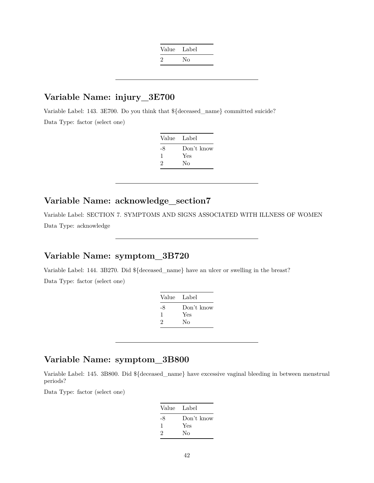| Value Label |    |
|-------------|----|
| $\cdot$     | Nο |

Variable Label: 143. 3E700. Do you think that \${deceased\_name} committed suicide? Data Type: factor (select one)

| Label      |
|------------|
| Don't know |
| Yes        |
| Nο         |
|            |

## **Variable Name: acknowledge\_section7**

Variable Label: SECTION 7. SYMPTOMS AND SIGNS ASSOCIATED WITH ILLNESS OF WOMEN Data Type: acknowledge

## **Variable Name: symptom\_3B720**

Variable Label: 144. 3B270. Did \${deceased\_name} have an ulcer or swelling in the breast? Data Type: factor (select one)

| Value Label |            |
|-------------|------------|
| -8          | Don't know |
| -1          | Yes        |
| 2           | No         |
|             |            |

# **Variable Name: symptom\_3B800**

Variable Label: 145. 3B800. Did \${deceased\_name} have excessive vaginal bleeding in between menstrual periods?

Data Type: factor (select one)

| Value | Label      |
|-------|------------|
| -8    | Don't know |
| ı     | Yes        |
| 2     | Nο         |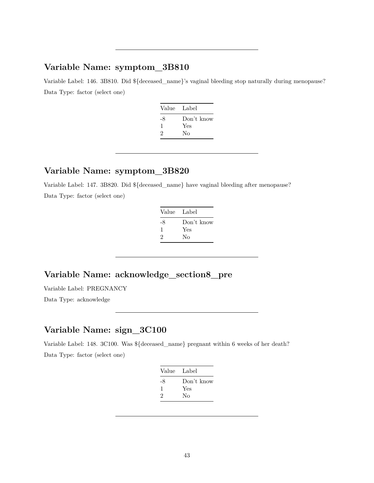Variable Label: 146. 3B810. Did \${deceased\_name}'s vaginal bleeding stop naturally during menopause? Data Type: factor (select one)

| Value Label |            |
|-------------|------------|
| -8          | Don't know |
| ı           | Yes        |
| 2           | Nο         |

#### **Variable Name: symptom\_3B820**

Variable Label: 147. 3B820. Did \${deceased\_name} have vaginal bleeding after menopause? Data Type: factor (select one)

| Value Label |            |
|-------------|------------|
| -8          | Don't know |
| ı           | Yes        |
| 2           | Nο         |

## **Variable Name: acknowledge\_section8\_pre**

Variable Label: PREGNANCY

Data Type: acknowledge

## **Variable Name: sign\_3C100**

Variable Label: 148. 3C100. Was \${deceased\_name} pregnant within 6 weeks of her death? Data Type: factor (select one)

| Value Label |            |
|-------------|------------|
| -8          | Don't know |
| 1           | Yes        |
| 2           | Nο         |
|             |            |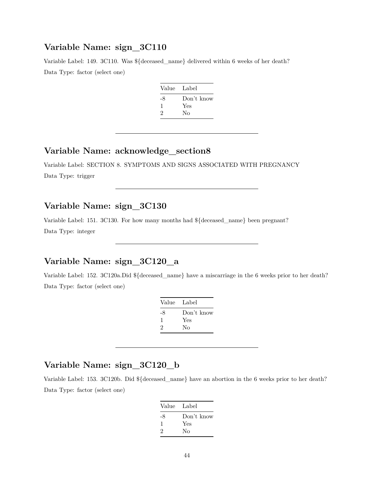Variable Label: 149. 3C110. Was \${deceased\_name} delivered within 6 weeks of her death? Data Type: factor (select one)

| Value | - Label    |
|-------|------------|
| -8    | Don't know |
| ı     | Yes        |
| 2     | Nο         |
|       |            |

### **Variable Name: acknowledge\_section8**

Variable Label: SECTION 8. SYMPTOMS AND SIGNS ASSOCIATED WITH PREGNANCY Data Type: trigger

## **Variable Name: sign\_3C130**

Variable Label: 151. 3C130. For how many months had \${deceased\_name} been pregnant? Data Type: integer

## **Variable Name: sign\_3C120\_a**

Variable Label: 152. 3C120a.Did \${deceased\_name} have a miscarriage in the 6 weeks prior to her death? Data Type: factor (select one)

|    | Value Label |
|----|-------------|
| -8 | Don't know  |
| 1  | Yes         |
| 2  | Nο          |
|    |             |

## **Variable Name: sign\_3C120\_b**

Variable Label: 153. 3C120b. Did \${deceased\_name} have an abortion in the 6 weeks prior to her death? Data Type: factor (select one)

| Value Label |            |
|-------------|------------|
| -8          | Don't know |
| 1           | Yes        |
| 2           | Nο         |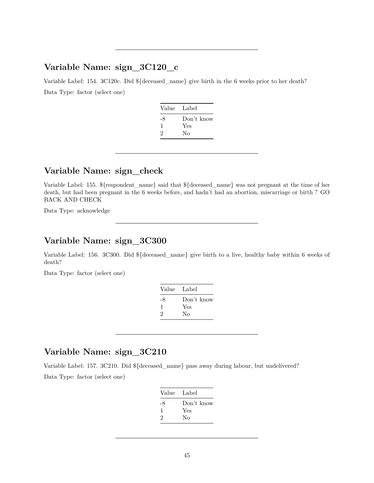## **Variable Name: sign\_3C120\_c**

Variable Label: 154. 3C120c. Did \${deceased\_name} give birth in the 6 weeks prior to her death? Data Type: factor (select one)

| Value | Label      |
|-------|------------|
| -8    | Don't know |
| ı     | Yes        |
| 2     | Nο         |
|       |            |

#### **Variable Name: sign\_check**

Variable Label: 155. \${respondent\_name} said that \${deceased\_name} was not pregnant at the time of her death, but had been pregnant in the 6 weeks before, and hadn't had an abortion, miscarriage or birth ? GO BACK AND CHECK

Data Type: acknowledge

# **Variable Name: sign\_3C300**

Variable Label: 156. 3C300. Did \${deceased\_name} give birth to a live, healthy baby within 6 weeks of death?

Data Type: factor (select one)

| Value | Label      |
|-------|------------|
| -8    | Don't know |
| ı     | Yes        |
| 2     | No         |
|       |            |

## **Variable Name: sign\_3C210**

Variable Label: 157. 3C210. Did \${deceased\_name} pass away during labour, but undelivered? Data Type: factor (select one)

| Don't know |
|------------|
| Yes        |
| Nο         |
|            |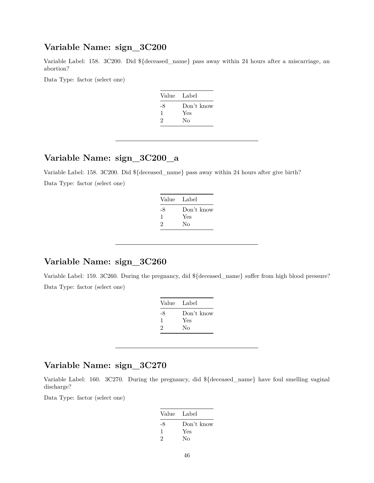Variable Label: 158. 3C200. Did \${deceased\_name} pass away within 24 hours after a miscarriage, an abortion?

Data Type: factor (select one)

| Value Label |            |
|-------------|------------|
| -8          | Don't know |
| ı           | Yes        |
| 2           | No         |
|             |            |

# **Variable Name: sign\_3C200\_a**

Variable Label: 158. 3C200. Did \${deceased\_name} pass away within 24 hours after give birth? Data Type: factor (select one)

| Value Label |            |
|-------------|------------|
| -8          | Don't know |
| ı           | Yes        |
| 2           | Nο         |
|             |            |

#### **Variable Name: sign\_3C260**

Variable Label: 159. 3C260. During the pregnancy, did \${deceased\_name} suffer from high blood pressure? Data Type: factor (select one)

| Value | Label      |
|-------|------------|
| -8    | Don't know |
| -1    | Yes        |
| 2     | Nο         |
|       |            |

## **Variable Name: sign\_3C270**

Variable Label: 160. 3C270. During the pregnancy, did \${deceased\_name} have foul smelling vaginal discharge?

Data Type: factor (select one)

| Value Label |            |
|-------------|------------|
| -8          | Don't know |
| 1           | Yes        |
| 2           | No         |
|             |            |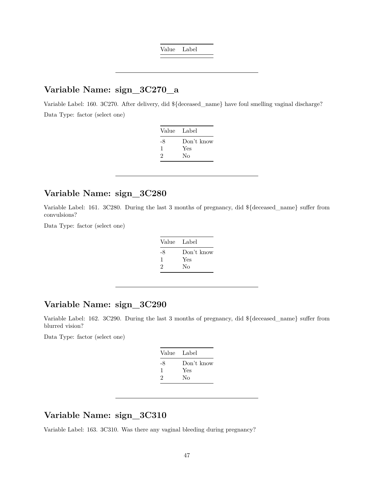Value Label

## **Variable Name: sign\_3C270\_a**

Variable Label: 160. 3C270. After delivery, did \${deceased\_name} have foul smelling vaginal discharge? Data Type: factor (select one)

| Value        | Label                   |
|--------------|-------------------------|
| -8<br>1<br>2 | Don't know<br>Yes<br>Nο |
|              |                         |

#### **Variable Name: sign\_3C280**

Variable Label: 161. 3C280. During the last 3 months of pregnancy, did \${deceased\_name} suffer from convulsions?

Data Type: factor (select one)

| Value Label |            |
|-------------|------------|
| -8          | Don't know |
| -1          | Yes        |
| 2           | Nο         |
|             |            |

#### **Variable Name: sign\_3C290**

Variable Label: 162. 3C290. During the last 3 months of pregnancy, did \${deceased\_name} suffer from blurred vision?

Data Type: factor (select one)

| Value Label |            |
|-------------|------------|
| -8          | Don't know |
| 1           | Yes        |
| 2           | Nο         |
|             |            |

## **Variable Name: sign\_3C310**

Variable Label: 163. 3C310. Was there any vaginal bleeding during pregnancy?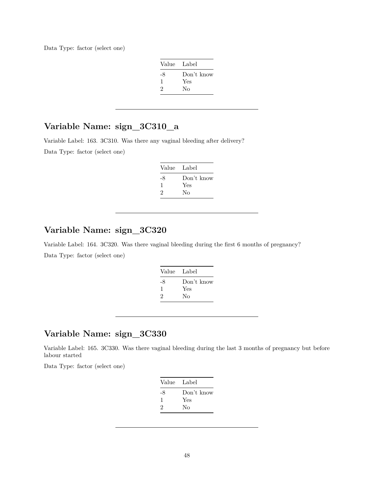Data Type: factor (select one)

| Value Label |            |
|-------------|------------|
| -8          | Don't know |
| -1          | Yes        |
| 2           | Nο         |

## **Variable Name: sign\_3C310\_a**

Variable Label: 163. 3C310. Was there any vaginal bleeding after delivery? Data Type: factor (select one)

| Value Label |            |
|-------------|------------|
| -8          | Don't know |
| J.          | Yes        |
| 2           | Nο         |

## **Variable Name: sign\_3C320**

Variable Label: 164. 3C320. Was there vaginal bleeding during the first 6 months of pregnancy? Data Type: factor (select one)

| Value Label |            |
|-------------|------------|
| -8          | Don't know |
| ı           | Yes        |
| 2           | No         |
|             |            |

## **Variable Name: sign\_3C330**

Variable Label: 165. 3C330. Was there vaginal bleeding during the last 3 months of pregnancy but before labour started

Data Type: factor (select one)

| Value Label |            |
|-------------|------------|
| -8          | Don't know |
| 1           | Yes        |
| 2           | Nο         |
|             |            |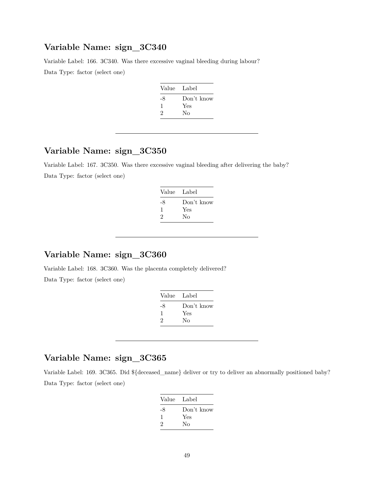Variable Label: 166. 3C340. Was there excessive vaginal bleeding during labour? Data Type: factor (select one)

| Value Label |            |
|-------------|------------|
| -8          | Don't know |
| ı           | Yes        |
| 2           | Nο         |
|             |            |

## **Variable Name: sign\_3C350**

Variable Label: 167. 3C350. Was there excessive vaginal bleeding after delivering the baby? Data Type: factor (select one)

| Value | - Label    |
|-------|------------|
| -8    | Don't know |
| -1    | Yes        |
| 2     | Nο         |

#### **Variable Name: sign\_3C360**

Variable Label: 168. 3C360. Was the placenta completely delivered? Data Type: factor (select one)

| Value Label |            |
|-------------|------------|
| -8          | Don't know |
|             | Yes        |
| 2           | Nο         |

## **Variable Name: sign\_3C365**

Variable Label: 169. 3C365. Did \${deceased\_name} deliver or try to deliver an abnormally positioned baby? Data Type: factor (select one)

| Value Label |
|-------------|
| Don't know  |
| Yes         |
| Nο          |
|             |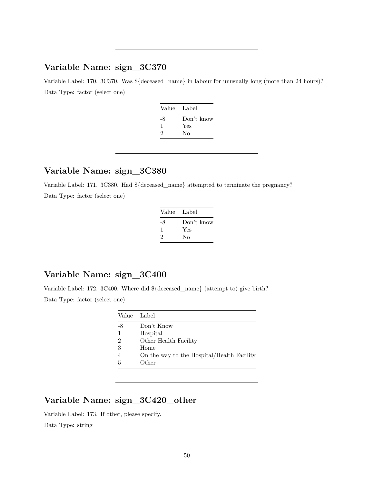Variable Label: 170. 3C370. Was  ${\{\text{decessed\_name}\}}$  in labour for unusually long (more than 24 hours)? Data Type: factor (select one)

| Value Label |            |
|-------------|------------|
| -8          | Don't know |
| ı           | Yes        |
| 2           | Nο         |
|             |            |

## **Variable Name: sign\_3C380**

Variable Label: 171. 3C380. Had \${deceased\_name} attempted to terminate the pregnancy? Data Type: factor (select one)

| Value Label |            |
|-------------|------------|
| -8          | Don't know |
| 1           | Yes        |
| 2           | No         |

## **Variable Name: sign\_3C400**

Variable Label: 172. 3C400. Where did \${deceased\_name} (attempt to) give birth? Data Type: factor (select one)

| Value          | Label                                      |
|----------------|--------------------------------------------|
| -8             | Don't Know                                 |
|                | Hospital                                   |
| $\overline{2}$ | Other Health Facility                      |
| 3              | Home                                       |
|                | On the way to the Hospital/Health Facility |
| 5              | Other                                      |

# **Variable Name: sign\_3C420\_other**

Variable Label: 173. If other, please specify.

Data Type: string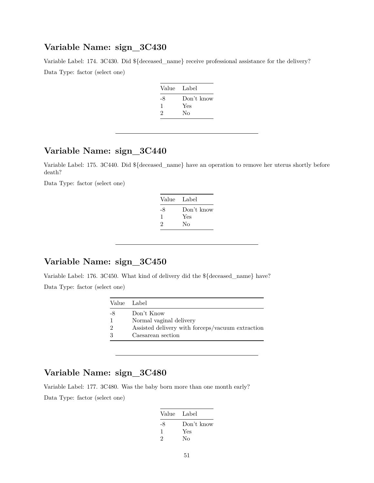Variable Label: 174. 3C430. Did \${deceased\_name} receive professional assistance for the delivery? Data Type: factor (select one)

| Value | - Label    |
|-------|------------|
| -8    | Don't know |
| ı     | Yes        |
| 2     | Nο         |

## **Variable Name: sign\_3C440**

Variable Label: 175. 3C440. Did \${deceased\_name} have an operation to remove her uterus shortly before death?

Data Type: factor (select one)

| Value Label |
|-------------|
| Don't know  |
| Yes         |
| No          |
|             |

## **Variable Name: sign\_3C450**

Variable Label: 176. 3C450. What kind of delivery did the \${deceased\_name} have? Data Type: factor (select one)

| Value Label   |                                                  |
|---------------|--------------------------------------------------|
| -8            | Don't Know                                       |
|               | Normal vaginal delivery                          |
| $\mathcal{D}$ | Assisted delivery with forceps/vacuum extraction |
|               | Caesarean section                                |

## **Variable Name: sign\_3C480**

Variable Label: 177. 3C480. Was the baby born more than one month early?

Data Type: factor (select one)

|    | Value Label |
|----|-------------|
| -8 | Don't know  |
| 1  | Yes         |
| 2  | No          |
|    |             |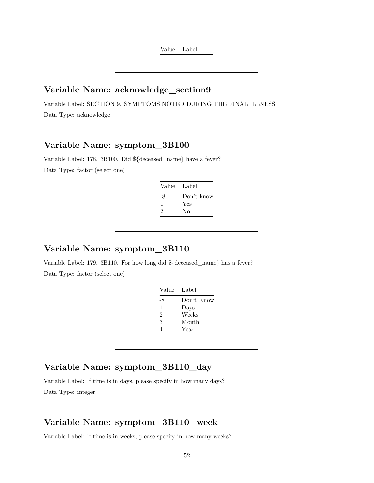Value Label

## **Variable Name: acknowledge\_section9**

Variable Label: SECTION 9. SYMPTOMS NOTED DURING THE FINAL ILLNESS Data Type: acknowledge

## **Variable Name: symptom\_3B100**

Variable Label: 178. 3B100. Did \${deceased\_name} have a fever? Data Type: factor (select one)

| Value Label |            |
|-------------|------------|
| -8          | Don't know |
| ı           | Yes        |
| 2           | Nο         |

## **Variable Name: symptom\_3B110**

Variable Label: 179. 3B110. For how long did \${deceased\_name} has a fever? Data Type: factor (select one)

| Value | - Label    |
|-------|------------|
| -8    | Don't Know |
| 1     | Days       |
| 2     | Weeks      |
| 3     | Month      |
| 4     | Year       |

# **Variable Name: symptom\_3B110\_day**

Variable Label: If time is in days, please specify in how many days? Data Type: integer

## **Variable Name: symptom\_3B110\_week**

Variable Label: If time is in weeks, please specify in how many weeks?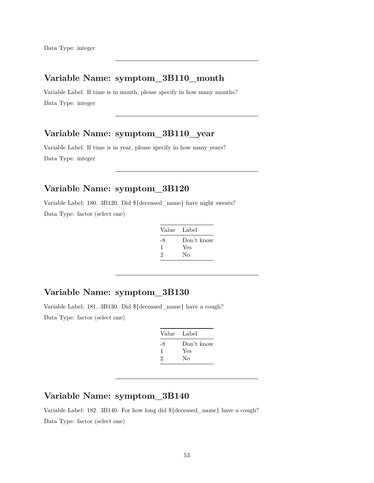## **Variable Name: symptom\_3B110\_month**

Variable Label: If time is in month, please specify in how many months? Data Type: integer

## **Variable Name: symptom\_3B110\_year**

Variable Label: If time is in year, please specify in how many years? Data Type: integer

# **Variable Name: symptom\_3B120**

Variable Label: 180. 3B120. Did \${deceased\_name} have night sweats? Data Type: factor (select one)

| Value Label |            |
|-------------|------------|
| -8          | Don't know |
| ı           | Yes        |
| 2           | Nο         |

# **Variable Name: symptom\_3B130**

Variable Label: 181. 3B130. Did \${deceased\_name} have a cough? Data Type: factor (select one)

| Value Label |            |
|-------------|------------|
| -8          | Don't know |
| ı           | Yes        |
| 2           | No         |
|             |            |

#### **Variable Name: symptom\_3B140**

Variable Label: 182. 3B140. For how long did \${deceased\_name} have a cough? Data Type: factor (select one)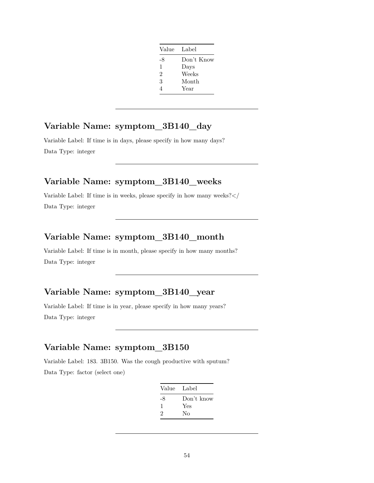| Value Label    |            |
|----------------|------------|
| -8             | Don't Know |
| 1              | Days       |
| $\mathfrak{D}$ | Weeks      |
| 3              | Month      |
| 4              | Year       |

## **Variable Name: symptom\_3B140\_day**

Variable Label: If time is in days, please specify in how many days? Data Type: integer

### **Variable Name: symptom\_3B140\_weeks**

Variable Label: If time is in weeks, please specify in how many weeks?</ Data Type: integer

#### **Variable Name: symptom\_3B140\_month**

Variable Label: If time is in month, please specify in how many months? Data Type: integer

## **Variable Name: symptom\_3B140\_year**

Variable Label: If time is in year, please specify in how many years? Data Type: integer

#### **Variable Name: symptom\_3B150**

Variable Label: 183. 3B150. Was the cough productive with sputum? Data Type: factor (select one)

| Don't know<br>-8 |  |
|------------------|--|
|                  |  |
| Yes<br>1         |  |
| 2<br>No          |  |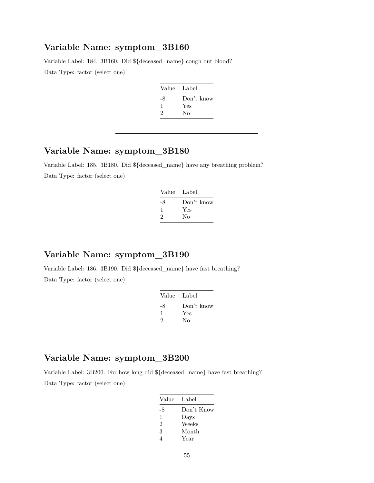Variable Label: 184. 3B160. Did \${deceased\_name} cough out blood? Data Type: factor (select one)

| Value | - Label    |
|-------|------------|
| -8    | Don't know |
| ı     | Yes        |
| 2     | Nο         |
|       |            |

## **Variable Name: symptom\_3B180**

Variable Label: 185. 3B180. Did \${deceased\_name} have any breathing problem? Data Type: factor (select one)

| Value Label |            |
|-------------|------------|
| -8          | Don't know |
| 1           | Yes        |
| 2           | Nο         |

# **Variable Name: symptom\_3B190**

Variable Label: 186. 3B190. Did \${deceased\_name} have fast breathing? Data Type: factor (select one)

| Value Label |
|-------------|
| Don't know  |
| Yes         |
| Nο          |
|             |

## **Variable Name: symptom\_3B200**

Variable Label: 3B200. For how long did \${deceased\_name} have fast breathing? Data Type: factor (select one)

| Value Label |            |
|-------------|------------|
| -8          | Don't Know |
| 1           | Days       |
| 2           | Weeks      |
| 3           | Month      |
|             | Year       |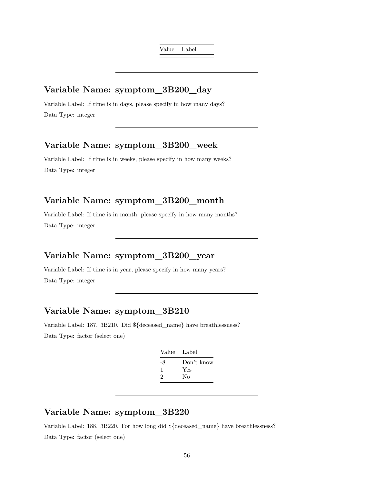Value Label

#### **Variable Name: symptom\_3B200\_day**

Variable Label: If time is in days, please specify in how many days? Data Type: integer

## **Variable Name: symptom\_3B200\_week**

Variable Label: If time is in weeks, please specify in how many weeks? Data Type: integer

## **Variable Name: symptom\_3B200\_month**

Variable Label: If time is in month, please specify in how many months? Data Type: integer

## **Variable Name: symptom\_3B200\_year**

Variable Label: If time is in year, please specify in how many years? Data Type: integer

## **Variable Name: symptom\_3B210**

Variable Label: 187. 3B210. Did \${deceased\_name} have breathlessness? Data Type: factor (select one)

| Value Label |            |
|-------------|------------|
| -8          | Don't know |
| 1           | Yes        |
| 2           | Nο         |
|             |            |

## **Variable Name: symptom\_3B220**

Variable Label: 188. 3B220. For how long did \${deceased\_name} have breathlessness? Data Type: factor (select one)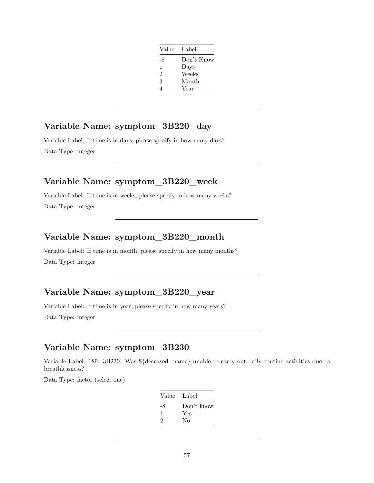| Value Label    |            |
|----------------|------------|
| -8             | Don't Know |
| 1              | Days       |
| $\mathfrak{D}$ | Weeks      |
| 3              | Month      |
| 4              | Year       |

## **Variable Name: symptom\_3B220\_day**

Variable Label: If time is in days, please specify in how many days? Data Type: integer

#### **Variable Name: symptom\_3B220\_week**

Variable Label: If time is in weeks, please specify in how many weeks? Data Type: integer

## **Variable Name: symptom\_3B220\_month**

Variable Label: If time is in month, please specify in how many months? Data Type: integer

## **Variable Name: symptom\_3B220\_year**

Variable Label: If time is in year, please specify in how many years?

Data Type: integer

## **Variable Name: symptom\_3B230**

Variable Label: 189. 3B230. Was \${deceased\_name} unable to carry out daily routine activities due to breathlessness?

Data Type: factor (select one)

| Value | Label      |
|-------|------------|
| -8    | Don't know |
| ı     | Yes        |
| 2     | Nο         |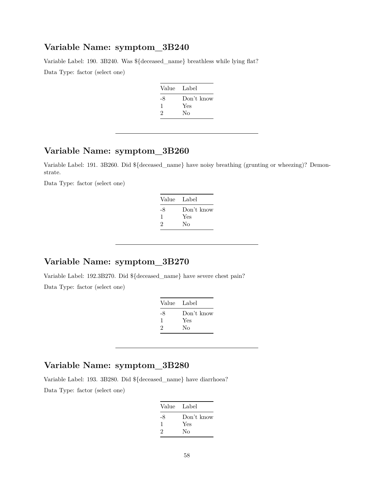Variable Label: 190. 3B240. Was \${deceased\_name} breathless while lying flat? Data Type: factor (select one)

| Value | Label      |
|-------|------------|
| -8    | Don't know |
|       | Yes        |
| 2     | Nο         |

## **Variable Name: symptom\_3B260**

Variable Label: 191. 3B260. Did \${deceased\_name} have noisy breathing (grunting or wheezing)? Demonstrate.

Data Type: factor (select one)

| Value | Label      |
|-------|------------|
| -8    | Don't know |
| ı     | Yes        |
| 2     | No         |
|       |            |

## **Variable Name: symptom\_3B270**

Variable Label: 192.3B270. Did \${deceased\_name} have severe chest pain?

Data Type: factor (select one)

| Value Label |            |
|-------------|------------|
| -8          | Don't know |
| ı           | Yes        |
| 2           | No         |
|             |            |

## **Variable Name: symptom\_3B280**

Variable Label: 193. 3B280. Did \${deceased\_name} have diarrhoea? Data Type: factor (select one)

| Value Label  |            |
|--------------|------------|
| -8           | Don't know |
| $\mathbf{1}$ | Yes        |
| 2            | Nο         |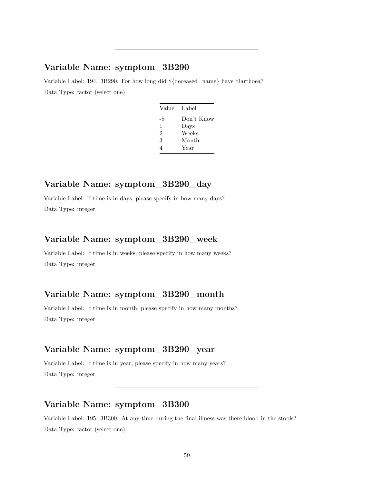Variable Label: 194. 3B290. For how long did \${deceased\_name} have diarrhoea? Data Type: factor (select one)

| Value | - Label    |
|-------|------------|
| -8    | Don't Know |
| 1     | Days       |
| 2     | Weeks      |
| 3     | Month      |
| 4     | Year       |

#### **Variable Name: symptom\_3B290\_day**

Variable Label: If time is in days, please specify in how many days? Data Type: integer

## **Variable Name: symptom\_3B290\_week**

Variable Label: If time is in weeks, please specify in how many weeks? Data Type: integer

## **Variable Name: symptom\_3B290\_month**

Variable Label: If time is in month, please specify in how many months? Data Type: integer

## **Variable Name: symptom\_3B290\_year**

Variable Label: If time is in year, please specify in how many years? Data Type: integer

## **Variable Name: symptom\_3B300**

Variable Label: 195. 3B300. At any time during the final illness was there blood in the stools? Data Type: factor (select one)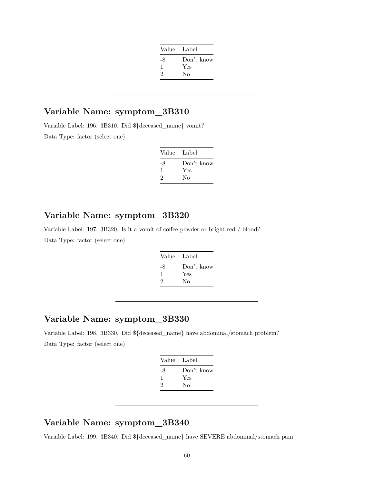| Value Label |            |
|-------------|------------|
| -8          | Don't know |
| 1           | Yes        |
| 2           | Nο         |
|             |            |

Variable Label: 196. 3B310. Did \${deceased\_name} vomit? Data Type: factor (select one)

| Value Label |            |
|-------------|------------|
| -8          | Don't know |
| 1           | Yes        |
| 2           | Nο         |
|             |            |

## **Variable Name: symptom\_3B320**

Variable Label: 197. 3B320. Is it a vomit of coffee powder or bright red / blood? Data Type: factor (select one)

| Label      |
|------------|
| Don't know |
| Yes        |
| Nο         |
|            |

## **Variable Name: symptom\_3B330**

Variable Label: 198. 3B330. Did \${deceased\_name} have abdominal/stomach problem? Data Type: factor (select one)

| Value | Label      |
|-------|------------|
| -8    | Don't know |
| 1     | Yes        |
| 2     | Nο         |
|       |            |

#### **Variable Name: symptom\_3B340**

Variable Label: 199. 3B340. Did \${deceased\_name} have SEVERE abdominal/stomach pain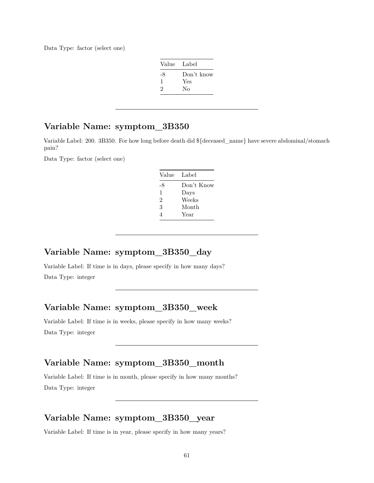Data Type: factor (select one)

| Value | Label      |
|-------|------------|
| -8    | Don't know |
| 1     | Yes        |
| 2     | Nο         |

## **Variable Name: symptom\_3B350**

Variable Label: 200. 3B350. For how long before death did \${deceased\_name} have severe abdominal/stomach pain?

Data Type: factor (select one)

| Value Label |            |
|-------------|------------|
| -8          | Don't Know |
| 1           | Days       |
| 2           | Weeks      |
| 3           | Month      |
| 4           | Year       |

#### **Variable Name: symptom\_3B350\_day**

Variable Label: If time is in days, please specify in how many days? Data Type: integer

#### **Variable Name: symptom\_3B350\_week**

Variable Label: If time is in weeks, please specify in how many weeks? Data Type: integer

#### **Variable Name: symptom\_3B350\_month**

Variable Label: If time is in month, please specify in how many months? Data Type: integer

#### **Variable Name: symptom\_3B350\_year**

Variable Label: If time is in year, please specify in how many years?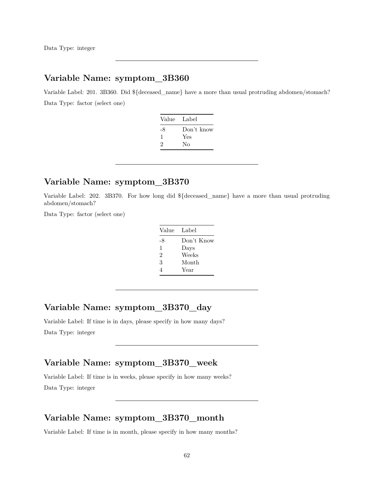Variable Label: 201. 3B360. Did \${deceased\_name} have a more than usual protruding abdomen/stomach? Data Type: factor (select one)

| Value Label |            |
|-------------|------------|
| -8          | Don't know |
| 1           | Yes        |
| 2           | Nο         |
|             |            |

#### **Variable Name: symptom\_3B370**

Variable Label: 202. 3B370. For how long did \${deceased\_name} have a more than usual protruding abdomen/stomach?

Data Type: factor (select one)

| Value | Label      |
|-------|------------|
| -8    | Don't Know |
| 1     | Days       |
| 2     | Weeks      |
| 3     | Month      |
| 4     | Year       |

## **Variable Name: symptom\_3B370\_day**

Variable Label: If time is in days, please specify in how many days? Data Type: integer

## **Variable Name: symptom\_3B370\_week**

Variable Label: If time is in weeks, please specify in how many weeks? Data Type: integer

#### **Variable Name: symptom\_3B370\_month**

Variable Label: If time is in month, please specify in how many months?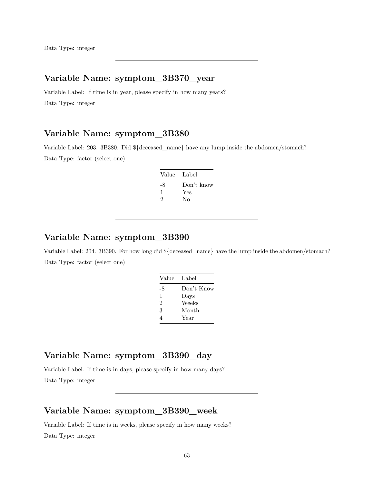## **Variable Name: symptom\_3B370\_year**

Variable Label: If time is in year, please specify in how many years? Data Type: integer

## **Variable Name: symptom\_3B380**

Variable Label: 203. 3B380. Did \${deceased\_name} have any lump inside the abdomen/stomach? Data Type: factor (select one)

| Don't know |
|------------|
| Yes        |
| No         |
|            |

#### **Variable Name: symptom\_3B390**

Variable Label: 204. 3B390. For how long did \${deceased\_name} have the lump inside the abdomen/stomach? Data Type: factor (select one)

| Value | - Label    |
|-------|------------|
| -8    | Don't Know |
| 1     | Days       |
| 2     | Weeks      |
| 3     | Month      |
| 4     | Year       |

## **Variable Name: symptom\_3B390\_day**

Variable Label: If time is in days, please specify in how many days? Data Type: integer

#### **Variable Name: symptom\_3B390\_week**

Variable Label: If time is in weeks, please specify in how many weeks? Data Type: integer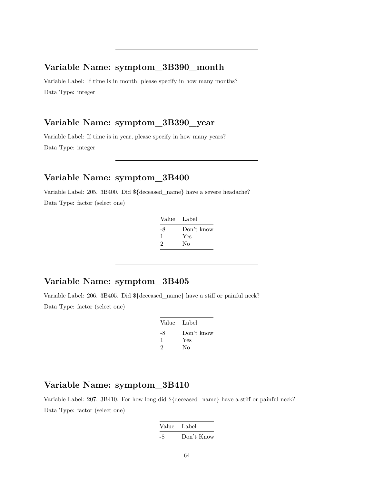#### **Variable Name: symptom\_3B390\_month**

Variable Label: If time is in month, please specify in how many months? Data Type: integer

#### **Variable Name: symptom\_3B390\_year**

Variable Label: If time is in year, please specify in how many years? Data Type: integer

#### **Variable Name: symptom\_3B400**

Variable Label: 205. 3B400. Did \${deceased\_name} have a severe headache? Data Type: factor (select one)

| - Label    |
|------------|
| Don't know |
| Yes        |
| No         |
|            |

#### **Variable Name: symptom\_3B405**

Variable Label: 206. 3B405. Did \${deceased\_name} have a stiff or painful neck? Data Type: factor (select one)

| Value | - Label    |
|-------|------------|
| -8    | Don't know |
| л.    | Yes        |
| 2     | No         |
|       |            |

#### **Variable Name: symptom\_3B410**

Variable Label: 207. 3B410. For how long did \${deceased\_name} have a stiff or painful neck? Data Type: factor (select one)

| Value Label |            |
|-------------|------------|
| -8          | Don't Know |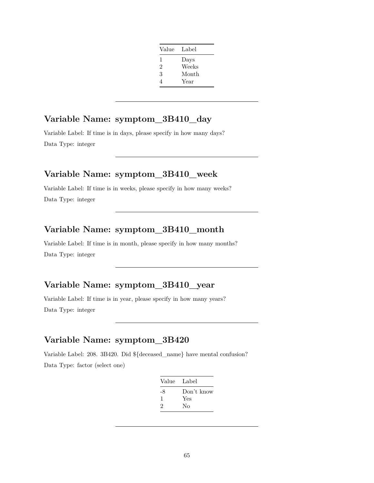| Value          | Label |
|----------------|-------|
| 1              | Days  |
| $\overline{2}$ | Weeks |
| 3              | Month |
| 4              | Year  |

# **Variable Name: symptom\_3B410\_day**

Variable Label: If time is in days, please specify in how many days? Data Type: integer

## **Variable Name: symptom\_3B410\_week**

Variable Label: If time is in weeks, please specify in how many weeks? Data Type: integer

## **Variable Name: symptom\_3B410\_month**

Variable Label: If time is in month, please specify in how many months? Data Type: integer

## **Variable Name: symptom\_3B410\_year**

Variable Label: If time is in year, please specify in how many years? Data Type: integer

## **Variable Name: symptom\_3B420**

Variable Label: 208. 3B420. Did \${deceased\_name} have mental confusion? Data Type: factor (select one)

| Value Label |            |
|-------------|------------|
| -8          | Don't know |
| 1           | Yes        |
| 2           | Nο         |
|             |            |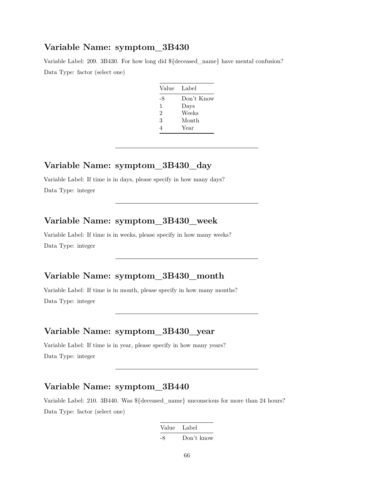Variable Label: 209. 3B430. For how long did \${deceased\_name} have mental confusion? Data Type: factor (select one)

| Value Label |            |
|-------------|------------|
| -8          | Don't Know |
| 1           | Days       |
| 2           | Weeks      |
| 3           | Month      |
| Δ           | Year       |

## **Variable Name: symptom\_3B430\_day**

Variable Label: If time is in days, please specify in how many days? Data Type: integer

#### **Variable Name: symptom\_3B430\_week**

Variable Label: If time is in weeks, please specify in how many weeks? Data Type: integer

## **Variable Name: symptom\_3B430\_month**

Variable Label: If time is in month, please specify in how many months? Data Type: integer

## **Variable Name: symptom\_3B430\_year**

Variable Label: If time is in year, please specify in how many years? Data Type: integer

#### **Variable Name: symptom\_3B440**

Variable Label: 210. 3B440. Was \${deceased\_name} unconscious for more than 24 hours? Data Type: factor (select one)

> Value Label -8 Don't know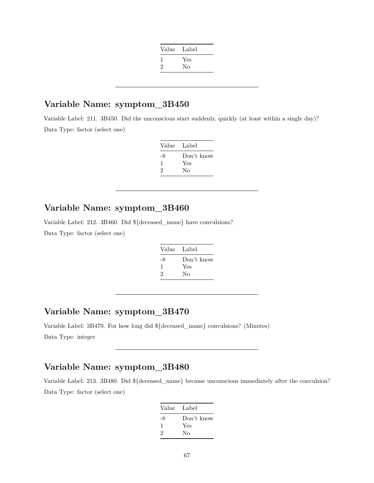| Value | Label |
|-------|-------|
|       | Yes   |
| 2     | No    |
|       |       |

Variable Label: 211. 3B450. Did the unconscious start suddenly, quickly (at least within a single day)? Data Type: factor (select one)

| Value Label |            |
|-------------|------------|
| -8          | Don't know |
| ı           | Yes        |
| 2           | Nο         |

#### **Variable Name: symptom\_3B460**

Variable Label: 212. 3B460. Did \${deceased\_name} have convulsions? Data Type: factor (select one)

| Label      |
|------------|
| Don't know |
| Yes<br>Nο  |
|            |

## **Variable Name: symptom\_3B470**

Variable Label: 3B470. For how long did \${deceased\_name} convulsions? (Minutes) Data Type: integer

# **Variable Name: symptom\_3B480**

Variable Label: 213. 3B480. Did \${deceased\_name} became unconscious immediately after the convulsion? Data Type: factor (select one)

| Value Label |            |
|-------------|------------|
| -8          | Don't know |
| 1           | Yes        |
| 2           | Nο         |
|             |            |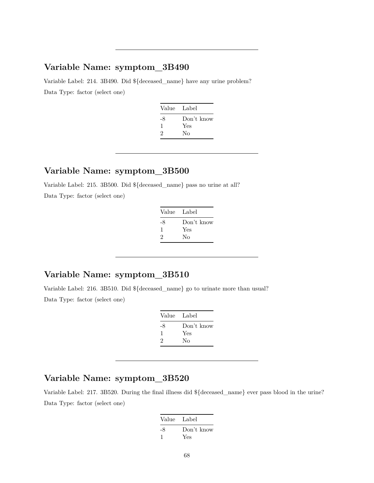Variable Label: 214. 3B490. Did \${deceased\_name} have any urine problem? Data Type: factor (select one)

| Value Label |
|-------------|
| Don't know  |
| Yes         |
| Nο          |
|             |

# **Variable Name: symptom\_3B500**

Variable Label: 215. 3B500. Did \${deceased\_name} pass no urine at all? Data Type: factor (select one)

| Value Label |
|-------------|
| Don't know  |
| Yes         |
| Nο          |
|             |

## **Variable Name: symptom\_3B510**

Variable Label: 216. 3B510. Did \${deceased\_name} go to urinate more than usual? Data Type: factor (select one)

| Value Label |
|-------------|
| Don't know  |
| Yes         |
| Nο          |
|             |

# **Variable Name: symptom\_3B520**

Variable Label: 217. 3B520. During the final illness did \${deceased\_name} ever pass blood in the urine? Data Type: factor (select one)

| Value Label |            |
|-------------|------------|
| -8          | Don't know |
|             | Yes        |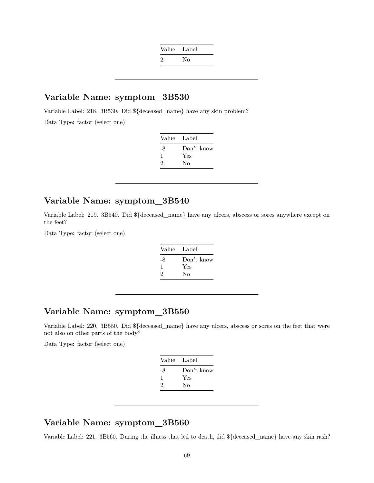| Value Label |    |
|-------------|----|
| $\cdot$     | Nο |

Variable Label: 218. 3B530. Did \${deceased\_name} have any skin problem?

Data Type: factor (select one)

| Label      |
|------------|
| Don't know |
| Yes        |
| Nο         |
|            |

## **Variable Name: symptom\_3B540**

Variable Label: 219. 3B540. Did \${deceased\_name} have any ulcers, abscess or sores anywhere except on the feet?

Data Type: factor (select one)

| Value Label |
|-------------|
| Don't know  |
| Yes         |
| No          |
|             |

## **Variable Name: symptom\_3B550**

Variable Label: 220. 3B550. Did \${deceased\_name} have any ulcers, abscess or sores on the feet that were not also on other parts of the body?

Data Type: factor (select one)

| Value Label |            |
|-------------|------------|
| -8          | Don't know |
| ı           | Yes        |
| 2           | Nο         |
|             |            |

#### **Variable Name: symptom\_3B560**

Variable Label: 221. 3B560. During the illness that led to death, did \${deceased\_name} have any skin rash?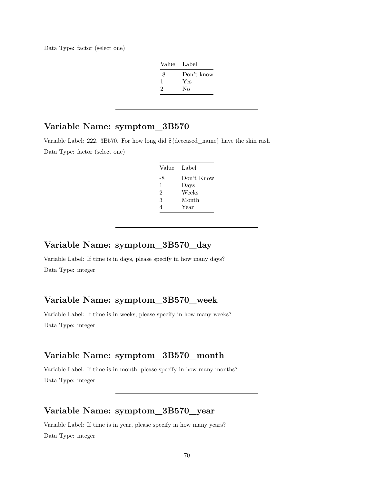Data Type: factor (select one)

| Value Label |            |
|-------------|------------|
| -8          | Don't know |
| ı           | Yes        |
| 2           | No         |

## **Variable Name: symptom\_3B570**

Variable Label: 222. 3B570. For how long did \${deceased\_name} have the skin rash Data Type: factor (select one)

| Value | Label      |
|-------|------------|
| -8    | Don't Know |
| 1     | Days       |
| 2     | Weeks      |
| 3     | Month      |
| 4     | Year       |

#### **Variable Name: symptom\_3B570\_day**

Variable Label: If time is in days, please specify in how many days? Data Type: integer

## **Variable Name: symptom\_3B570\_week**

Variable Label: If time is in weeks, please specify in how many weeks? Data Type: integer

## **Variable Name: symptom\_3B570\_month**

Variable Label: If time is in month, please specify in how many months? Data Type: integer

#### **Variable Name: symptom\_3B570\_year**

Variable Label: If time is in year, please specify in how many years? Data Type: integer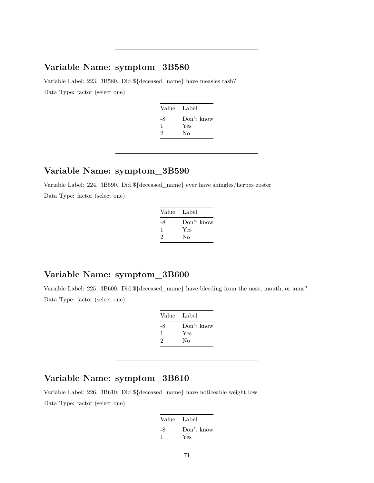Variable Label: 223. 3B580. Did \${deceased\_name} have measles rash? Data Type: factor (select one)

| Value Label |
|-------------|
| Don't know  |
| Yes         |
| Nο          |
|             |

#### **Variable Name: symptom\_3B590**

Variable Label: 224. 3B590. Did \${deceased\_name} ever have shingles/herpes zoster Data Type: factor (select one)

| Value Label |
|-------------|
| Don't know  |
| Yes         |
| Nο          |
|             |

# **Variable Name: symptom\_3B600**

Variable Label: 225. 3B600. Did \${deceased\_name} have bleeding from the nose, mouth, or anus? Data Type: factor (select one)

| Value         | Label             |
|---------------|-------------------|
| -8<br>-1<br>2 | Don't know<br>Yes |
|               | Nο                |

# **Variable Name: symptom\_3B610**

Variable Label: 226. 3B610. Did \${deceased\_name} have noticeable weight loss Data Type: factor (select one)

| Value Label |            |
|-------------|------------|
| -8          | Don't know |
|             | Yes        |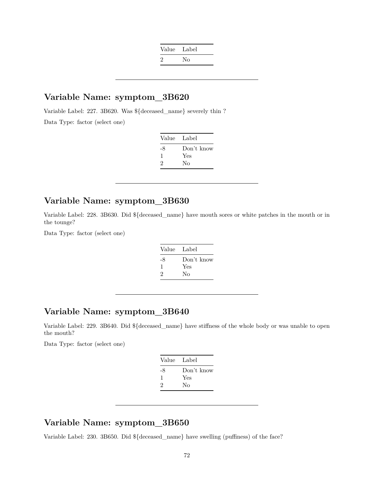| Value | Label |
|-------|-------|
| 2     | Nο    |

Variable Label: 227. 3B620. Was \${deceased\_name} severely thin ? Data Type: factor (select one)

| Value | - Label    |
|-------|------------|
| -8    | Don't know |
| л.    | Yes        |
| 2     | Nο         |

## **Variable Name: symptom\_3B630**

Variable Label: 228. 3B630. Did \${deceased\_name} have mouth sores or white patches in the mouth or in the tounge?

Data Type: factor (select one)

| Value Label |            |
|-------------|------------|
| -8          | Don't know |
| J.          | Yes        |
| 2           | Nο         |

## **Variable Name: symptom\_3B640**

Variable Label: 229. 3B640. Did \${deceased\_name} have stiffness of the whole body or was unable to open the mouth?

Data Type: factor (select one)

| Value Label |            |
|-------------|------------|
| -8          | Don't know |
| ı           | Yes        |
| 2           | Nο         |
|             |            |

#### **Variable Name: symptom\_3B650**

Variable Label: 230. 3B650. Did \${deceased\_name} have swelling (puffiness) of the face?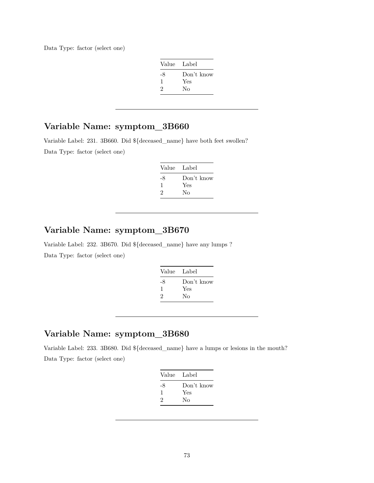Data Type: factor (select one)

| Value Label |            |
|-------------|------------|
| -8          | Don't know |
| -1          | Yes        |
| 2           | Nο         |

# **Variable Name: symptom\_3B660**

Variable Label: 231. 3B660. Did \${deceased\_name} have both feet swollen? Data Type: factor (select one)

| Value | Label      |
|-------|------------|
| -8    | Don't know |
| ı.    | Yes        |
| 2     | Nο         |

### **Variable Name: symptom\_3B670**

Variable Label: 232. 3B670. Did \${deceased\_name} have any lumps ? Data Type: factor (select one)

| Value | - Label    |
|-------|------------|
| -8    | Don't know |
| ı     | Yes        |
| 2     | Nο         |
|       |            |

### **Variable Name: symptom\_3B680**

Variable Label: 233. 3B680. Did \${deceased\_name} have a lumps or lesions in the mouth? Data Type: factor (select one)

|    | Value Label |
|----|-------------|
| -8 | Don't know  |
| ı  | Yes         |
| 2  | Nο          |
|    |             |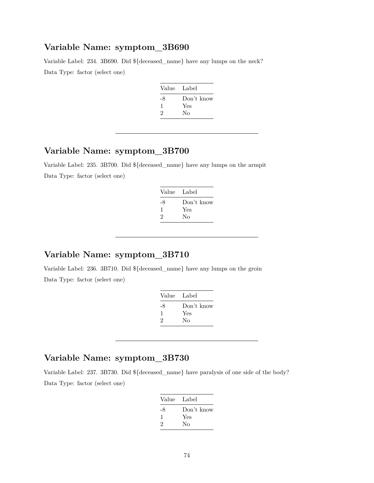#### **Variable Name: symptom\_3B690**

Variable Label: 234. 3B690. Did \${deceased\_name} have any lumps on the neck? Data Type: factor (select one)

| Value Label |            |
|-------------|------------|
| -8          | Don't know |
| ı           | Yes        |
| 2           | No         |

### **Variable Name: symptom\_3B700**

Variable Label: 235. 3B700. Did \${deceased\_name} have any lumps on the armpit Data Type: factor (select one)

| Value Label |            |
|-------------|------------|
| -8          | Don't know |
| -1          | Yes        |
| 2           | No         |

# **Variable Name: symptom\_3B710**

Variable Label: 236. 3B710. Did \${deceased\_name} have any lumps on the groin Data Type: factor (select one)

| Value Label |
|-------------|
| Don't know  |
| Yes         |
| Nο          |
|             |

#### **Variable Name: symptom\_3B730**

Variable Label: 237. 3B730. Did \${deceased\_name} have paralysis of one side of the body? Data Type: factor (select one)

| Value Label |
|-------------|
| Don't know  |
| Yes         |
| Nο          |
|             |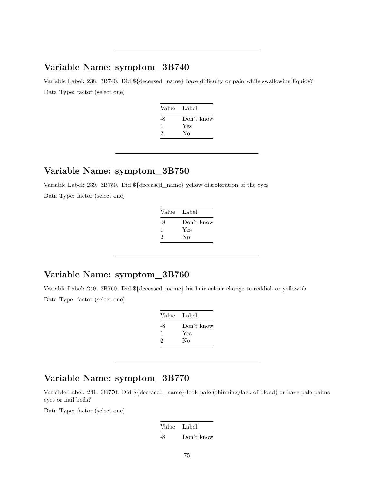# **Variable Name: symptom\_3B740**

Variable Label: 238. 3B740. Did \${deceased\_name} have difficulty or pain while swallowing liquids? Data Type: factor (select one)

| Value | Label      |
|-------|------------|
| -8    | Don't know |
| -1    | Yes        |
| 2     | Nο         |
|       |            |

#### **Variable Name: symptom\_3B750**

Variable Label: 239. 3B750. Did \${deceased\_name} yellow discoloration of the eyes Data Type: factor (select one)

| Value Label |
|-------------|
| Don't know  |
| Yes         |
| Nο          |
|             |

# **Variable Name: symptom\_3B760**

Variable Label: 240. 3B760. Did \${deceased\_name} his hair colour change to reddish or yellowish Data Type: factor (select one)

| Value Label |            |
|-------------|------------|
| -8          | Don't know |
| ı           | Yes        |
| 2           | No         |

## **Variable Name: symptom\_3B770**

Variable Label: 241. 3B770. Did \${deceased\_name} look pale (thinning/lack of blood) or have pale palms eyes or nail beds?

Data Type: factor (select one)

Value Label -8 Don't know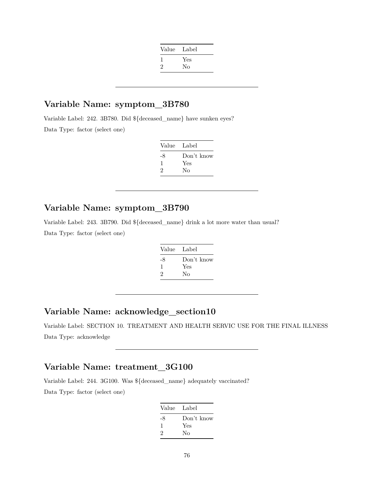| Value | Label |
|-------|-------|
|       | Yes   |
| 2     | No    |
|       |       |

### **Variable Name: symptom\_3B780**

Variable Label: 242. 3B780. Did \${deceased\_name} have sunken eyes? Data Type: factor (select one)

| Value | Label      |
|-------|------------|
| -8    | Don't know |
| ı     | Yes        |
| 2     | Nο         |

#### **Variable Name: symptom\_3B790**

Variable Label: 243. 3B790. Did \${deceased\_name} drink a lot more water than usual? Data Type: factor (select one)

| Value Label |            |
|-------------|------------|
| -8          | Don't know |
| J.          | Yes        |
| 2           | Nο         |

### **Variable Name: acknowledge\_section10**

Variable Label: SECTION 10. TREATMENT AND HEALTH SERVIC USE FOR THE FINAL ILLNESS Data Type: acknowledge

#### **Variable Name: treatment\_3G100**

Variable Label: 244. 3G100. Was \${deceased\_name} adequately vaccinated? Data Type: factor (select one)

| Value Label |            |
|-------------|------------|
| -8          | Don't know |
| 1           | Yes        |
| 2           | Nο         |
|             |            |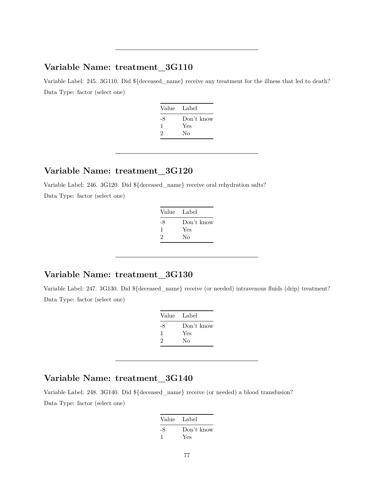### **Variable Name: treatment\_3G110**

Variable Label: 245. 3G110. Did \${deceased\_name} receive any treatment for the illness that led to death? Data Type: factor (select one)

| Value Label |            |
|-------------|------------|
| -8          | Don't know |
| ı           | Yes        |
| 2           | Nο         |
|             |            |

#### **Variable Name: treatment\_3G120**

Variable Label: 246. 3G120. Did \${deceased\_name} receive oral rehydration salts?

Data Type: factor (select one)

| Value Label |            |
|-------------|------------|
| -8          | Don't know |
| I.          | Yes        |
| 2           | Nο         |
|             |            |

### **Variable Name: treatment\_3G130**

Variable Label: 247. 3G130. Did \${deceased\_name} receive (or needed) intravenous fluids (drip) treatment? Data Type: factor (select one)

| Value | - Label    |
|-------|------------|
| -8    | Don't know |
| ı     | Yes        |
| 2     | Nο         |

#### **Variable Name: treatment\_3G140**

Variable Label: 248. 3G140. Did \${deceased\_name} receive (or needed) a blood transfusion? Data Type: factor (select one)

| Value Label |            |
|-------------|------------|
| -8          | Don't know |
|             | Yes        |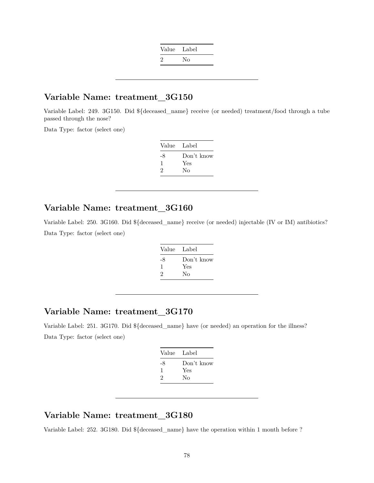| Value Label   |    |
|---------------|----|
| $\mathcal{L}$ | Nο |

#### **Variable Name: treatment\_3G150**

Variable Label: 249. 3G150. Did \${deceased\_name} receive (or needed) treatment/food through a tube passed through the nose?

Data Type: factor (select one)

| Value | Label      |
|-------|------------|
| -8    | Don't know |
|       | Yes        |
| 2     | Nο         |

#### **Variable Name: treatment\_3G160**

Variable Label: 250. 3G160. Did \${deceased\_name} receive (or needed) injectable (IV or IM) antibiotics? Data Type: factor (select one)

| Value | Label      |
|-------|------------|
| -8    | Don't know |
| ı.    | Yes        |
| 2     | Nο         |

#### **Variable Name: treatment\_3G170**

Variable Label: 251. 3G170. Did \${deceased\_name} have (or needed) an operation for the illness? Data Type: factor (select one)

| Value Label |            |
|-------------|------------|
| -8          | Don't know |
| л.          | Yes        |
| 2           | Nο         |
|             |            |

# **Variable Name: treatment\_3G180**

Variable Label: 252. 3G180. Did \${deceased\_name} have the operation within 1 month before ?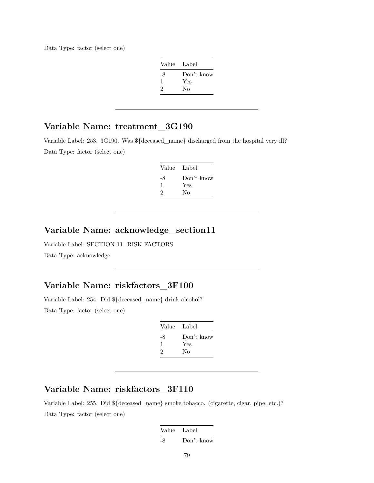Data Type: factor (select one)

| Value Label |            |
|-------------|------------|
| -8          | Don't know |
| 1           | Yes        |
| 2           | Nο         |

### **Variable Name: treatment\_3G190**

Variable Label: 253. 3G190. Was \${deceased\_name} discharged from the hospital very ill? Data Type: factor (select one)

| Value | Label      |
|-------|------------|
| -8    | Don't know |
| л.    | Yes        |
| 2     | No         |

## **Variable Name: acknowledge\_section11**

Variable Label: SECTION 11. RISK FACTORS Data Type: acknowledge

#### **Variable Name: riskfactors\_3F100**

Variable Label: 254. Did \${deceased\_name} drink alcohol? Data Type: factor (select one)

| Value | Label      |
|-------|------------|
| -8    | Don't know |
| ı.    | Yes        |
| 2     | No         |

### **Variable Name: riskfactors\_3F110**

Variable Label: 255. Did \${deceased\_name} smoke tobacco. (cigarette, cigar, pipe, etc.)? Data Type: factor (select one)

| Value Label |            |
|-------------|------------|
| -8          | Don't know |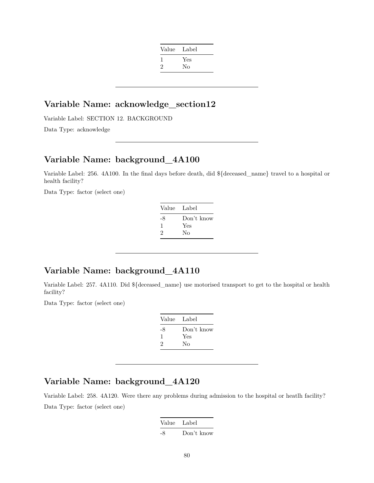| Label |
|-------|
| Yes   |
| No    |
|       |

#### **Variable Name: acknowledge\_section12**

Variable Label: SECTION 12. BACKGROUND Data Type: acknowledge

#### **Variable Name: background\_4A100**

Variable Label: 256. 4A100. In the final days before death, did \${deceased\_name} travel to a hospital or health facility?

Data Type: factor (select one)

| - Label    |
|------------|
| Don't know |
| Yes        |
| No         |
|            |

#### **Variable Name: background\_4A110**

Variable Label: 257. 4A110. Did \${deceased\_name} use motorised transport to get to the hospital or health facility?

Data Type: factor (select one)

| Value Label |            |
|-------------|------------|
| -8          | Don't know |
| 1           | Yes        |
| 2           | Nο         |
|             |            |

### **Variable Name: background\_4A120**

Variable Label: 258. 4A120. Were there any problems during admission to the hospital or heatlh facility? Data Type: factor (select one)

| Value Label |            |
|-------------|------------|
| -8          | Don't know |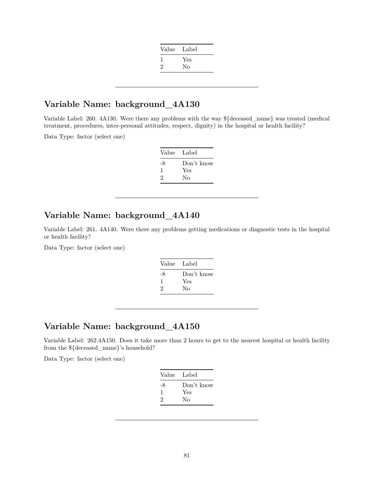| Value | Label |
|-------|-------|
|       | Yes   |
| 2     | No    |
|       |       |

#### **Variable Name: background\_4A130**

Variable Label: 260. 4A130. Were there any problems with the way \${deceased\_name} was treated (medical treatment, procedures, inter-personal attitudes, respect, dignity) in the hospital or health facility?

Data Type: factor (select one)

| Value | - Label    |
|-------|------------|
| -8    | Don't know |
| -1    | Yes        |
| 2     | Nο         |

# **Variable Name: background\_4A140**

Variable Label: 261. 4A140. Were there any problems getting medications or diagnostic tests in the hospital or health facility?

Data Type: factor (select one)

| Label      |
|------------|
| Don't know |
| Yes        |
| Nο         |
|            |

### **Variable Name: background\_4A150**

Variable Label: 262.4A150. Does it take more than 2 hours to get to the nearest hospital or health facility from the \${deceased\_name}'s household?

Data Type: factor (select one)

|    | Value Label |
|----|-------------|
| -8 | Don't know  |
| ı  | Yes         |
| 2  | No          |
|    |             |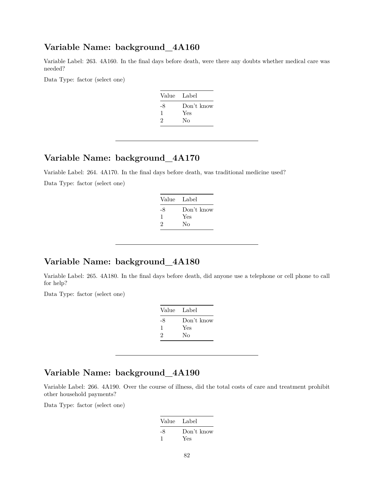#### **Variable Name: background\_4A160**

Variable Label: 263. 4A160. In the final days before death, were there any doubts whether medical care was needed?

Data Type: factor (select one)

| Value | - Label    |
|-------|------------|
| -8    | Don't know |
| ı     | Yes        |
| 2     | No         |
|       |            |

### **Variable Name: background\_4A170**

Variable Label: 264. 4A170. In the final days before death, was traditional medicine used? Data Type: factor (select one)

| Value Label |            |
|-------------|------------|
| -8          | Don't know |
| л.          | Yes        |
| 2           | No         |
|             |            |

#### **Variable Name: background\_4A180**

Variable Label: 265. 4A180. In the final days before death, did anyone use a telephone or cell phone to call for help?

Data Type: factor (select one)

| Value | Label      |
|-------|------------|
| -8    | Don't know |
| ı     | Yes        |
| 2     | Nο         |
|       |            |

### **Variable Name: background\_4A190**

Variable Label: 266. 4A190. Over the course of illness, did the total costs of care and treatment prohibit other household payments?

Data Type: factor (select one)

| Value Label |                   |
|-------------|-------------------|
| -8          | Don't know<br>Yes |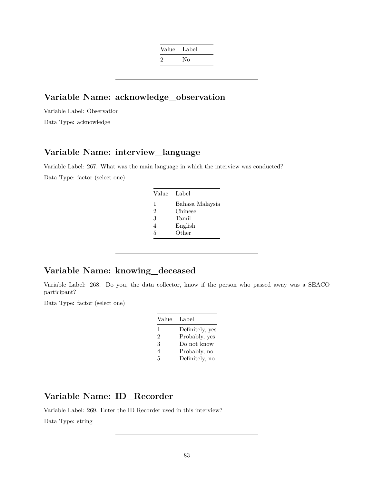| Value | Label |
|-------|-------|
| 2     | Nο    |

### **Variable Name: acknowledge\_observation**

Variable Label: Observation Data Type: acknowledge

### **Variable Name: interview\_language**

Variable Label: 267. What was the main language in which the interview was conducted? Data Type: factor (select one)

| Label           |
|-----------------|
| Bahasa Malaysia |
| Chinese         |
| Tamil           |
| English         |
| Other           |
|                 |

#### **Variable Name: knowing\_deceased**

Variable Label: 268. Do you, the data collector, know if the person who passed away was a SEACO participant?

Data Type: factor (select one)

| Value | Label           |
|-------|-----------------|
| 1     | Definitely, yes |
| 2     | Probably, yes   |
| 3     | Do not know     |
| 4     | Probably, no    |
| 5     | Definitely, no  |

### **Variable Name: ID\_Recorder**

Variable Label: 269. Enter the ID Recorder used in this interview?

Data Type: string